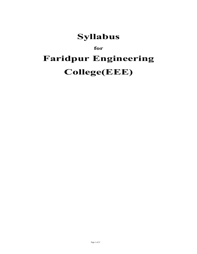## **Syllabus**

# **for Faridpur Engineering College(EEE)**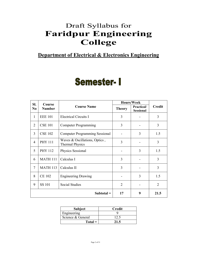## Draft Syllabus for **Faridpur Engineering College**

## **Department of Electrical & Electronics Engineering**

## **Semester-I**

| SI.            | Course          |                                                         | <b>Hours/Week</b> |                                        |                |
|----------------|-----------------|---------------------------------------------------------|-------------------|----------------------------------------|----------------|
| N <sub>0</sub> | <b>Number</b>   | <b>Course Name</b>                                      | <b>Theory</b>     | <b>Practical</b> /<br><b>Sessional</b> | <b>Credit</b>  |
| $\mathbf{1}$   | <b>EEE 101</b>  | <b>Electrical Circuits I</b>                            | 3                 |                                        | 3              |
| $\overline{2}$ | <b>CSE 101</b>  | <b>Computer Programming</b>                             | 3                 |                                        | 3              |
| 3              | <b>CSE 102</b>  | <b>Computer Programming Sessional</b>                   |                   | 3                                      | 1.5            |
| $\overline{4}$ | <b>PHY 111</b>  | Waves & Oscillations, Optics,<br><b>Thermal Physics</b> | 3                 |                                        | 3              |
| 5              | <b>PHY 112</b>  | Physics Sessional                                       |                   | 3                                      | 1.5            |
| 6              | <b>MATH 111</b> | Calculus I                                              | 3                 |                                        | 3              |
| $\overline{7}$ | <b>MATH 113</b> | Calculus II                                             | 3                 |                                        | 3              |
| 8              | <b>CE 102</b>   | <b>Engineering Drawing</b>                              |                   | 3                                      | 1.5            |
| 9              | <b>SS 101</b>   | Social Studies                                          | 2                 |                                        | $\overline{2}$ |
|                |                 | $Subtotal =$                                            | 17                | 9                                      | 21.5           |

| <b>Subject</b>    | Credit |
|-------------------|--------|
| Engineering       |        |
| Science & General | 12.5   |
| $Total =$         | 21.5   |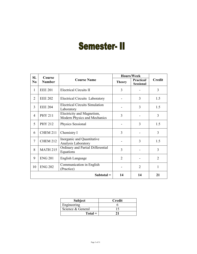# **Semester-II**

| SI.            | Course          |                                                            | <b>Hours/Week</b> |                                |                |
|----------------|-----------------|------------------------------------------------------------|-------------------|--------------------------------|----------------|
| N <sub>0</sub> | <b>Number</b>   | <b>Course Name</b>                                         | <b>Theory</b>     | Practical/<br><b>Sessional</b> | <b>Credit</b>  |
| 1              | <b>EEE 201</b>  | <b>Electrical Circuits II</b>                              | 3                 |                                | 3              |
| $\overline{2}$ | <b>EEE 202</b>  | <b>Electrical Circuits Laboratory</b>                      |                   | 3                              | 1.5            |
| 3              | <b>EEE 204</b>  | <b>Electrical Circuits Simulation</b><br>Laboratory        |                   | 3                              | 1.5            |
| $\overline{4}$ | <b>PHY 211</b>  | Electricity and Magnetism,<br>Modern Physics and Mechanics | 3                 |                                | 3              |
| 5              | <b>PHY 212</b>  | Physics Sessional                                          |                   | 3                              | 1.5            |
| 6              | <b>CHEM 211</b> | Chemistry I                                                | 3                 |                                | 3              |
| $\overline{7}$ | <b>CHEM 212</b> | Inorganic and Quantitative<br>Analysis Laboratory          |                   | 3                              | 1.5            |
| 8              | <b>MATH 215</b> | Ordinary and Partial Differential<br>Equations             | 3                 |                                | 3              |
| 9              | <b>ENG 201</b>  | English Language                                           | $\overline{2}$    |                                | $\overline{2}$ |
| 10             | <b>ENG 202</b>  | Communication in English<br>(Practice)                     |                   | $\overline{2}$                 | 1              |
|                |                 | $Subtotal =$                                               | 14                | 14                             | 21             |

| <b>Subject</b>    | <b>Credit</b> |
|-------------------|---------------|
| Engineering       |               |
| Science & General |               |
| $Total =$         |               |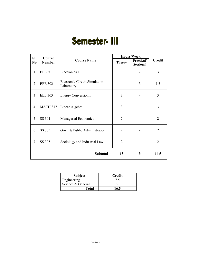# **Semester- III**

| SI.            | Course                              |                                                    |                                | Hours/Week    |                |
|----------------|-------------------------------------|----------------------------------------------------|--------------------------------|---------------|----------------|
| N <sub>0</sub> | <b>Course Name</b><br><b>Number</b> | <b>Theory</b>                                      | Practical/<br><b>Sessional</b> | <b>Credit</b> |                |
| $\mathbf{1}$   | <b>EEE 301</b>                      | Electronics I                                      | 3                              |               | 3              |
| $\overline{2}$ | <b>EEE 302</b>                      | <b>Electronic Circuit Simulation</b><br>Laboratory |                                | 3             | 1.5            |
| 3              | <b>EEE 303</b>                      | <b>Energy Conversion I</b>                         | 3                              |               | 3              |
| $\overline{4}$ | <b>MATH 317</b>                     | Linear Algebra                                     | 3                              |               | 3              |
| 5              | SS 301                              | Managerial Economics                               | $\overline{2}$                 |               | $\overline{2}$ |
| 6              | SS 303                              | Govt. & Public Administration                      | $\overline{2}$                 |               | $\overline{2}$ |
| $\overline{7}$ | SS 305                              | Sociology and Industrial Law                       | $\overline{2}$                 |               | $\overline{2}$ |
|                |                                     | $Subtotal =$                                       | 15                             | 3             | 16.5           |

| <b>Subject</b>    | <b>Credit</b> |
|-------------------|---------------|
| Engineering       |               |
| Science & General |               |
| $Total =$         | 16.5          |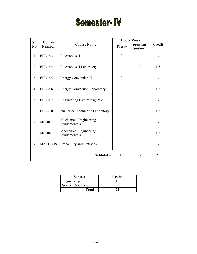# **Semester-IV**

| SI.<br>Course  |                 |                                        | Hours/Week     |                                |                |
|----------------|-----------------|----------------------------------------|----------------|--------------------------------|----------------|
| N <sub>0</sub> | <b>Number</b>   | <b>Course Name</b>                     | <b>Theory</b>  | Practical/<br><b>Sessional</b> | <b>Credit</b>  |
| $\mathbf{1}$   | <b>EEE 403</b>  | Electronics II                         | $\overline{3}$ |                                | $\overline{3}$ |
| $\overline{2}$ | <b>EEE 404</b>  | Electronics II Laboratory              |                | 3                              | 1.5            |
| 3              | <b>EEE 405</b>  | <b>Energy Conversion II</b>            | 3              |                                | 3              |
| $\overline{4}$ | <b>EEE 406</b>  | <b>Energy Conversion Laboratory</b>    |                | 3                              | 1.5            |
| 5              | <b>EEE 407</b>  | Engineering Electromagnetic            | 3              |                                | $\overline{3}$ |
| 6              | <b>EEE 410</b>  | Numerical Technique Laboratory         |                | 3                              | 1.5            |
| $\overline{7}$ | <b>ME 401</b>   | Mechanical Engineering<br>Fundamentals | 3              |                                | 3              |
| 8              | <b>ME 402</b>   | Mechanical Engineering<br>Fundamentals |                | 3                              | 1.5            |
| 9              | <b>MATH 419</b> | Probability and Statistics             | 3              |                                | 3              |
|                |                 | $Subtotal =$                           | 15             | 12                             | 21             |

| <b>Subject</b>    | <b>Credit</b> |
|-------------------|---------------|
| Engineering       |               |
| Science & General |               |
| $Total =$         |               |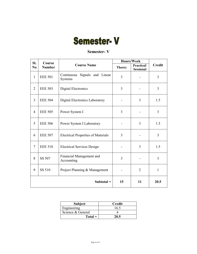# **Semester-V**

## **Semester- V**

| SI.<br>Course  |                |                                             | Hours/Week     |                                |                |
|----------------|----------------|---------------------------------------------|----------------|--------------------------------|----------------|
| N <sub>0</sub> | <b>Number</b>  | <b>Course Name</b>                          | <b>Theory</b>  | Practical/<br><b>Sessional</b> | <b>Credit</b>  |
| $\mathbf{1}$   | <b>EEE 501</b> | Signals and Linear<br>Continuous<br>Systems | $\overline{3}$ |                                | 3              |
| $\overline{2}$ | <b>EEE 503</b> | Digital Electronics                         | 3              |                                | $\overline{3}$ |
| $\overline{3}$ | <b>EEE 504</b> | Digital Electronics Laboratory              |                | 3                              | 1.5            |
| $\overline{4}$ | <b>EEE 505</b> | Power System I                              | 3              |                                | 3              |
| 5              | <b>EEE 506</b> | Power System I Laboratory                   |                | 3                              | 1.5            |
| 6              | <b>EEE 507</b> | <b>Electrical Properties of Materials</b>   | 3              |                                | 3              |
| $\overline{7}$ | <b>EEE 510</b> | <b>Electrical Services Design</b>           |                | 3                              | 1.5            |
| 8              | SS 507         | Financial Management and<br>Accounting      | 3              |                                | 3              |
| 9              | SS 510         | Project Planning & Management               |                | $\overline{2}$                 | $\mathbf{1}$   |
|                |                | Subtotal $=$                                | 15             | 11                             | 20.5           |

| <b>Subject</b>    | Credit |
|-------------------|--------|
| Engineering       | 16.5   |
| Science & General |        |
| $Total =$         | 20.5   |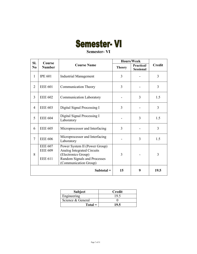# **Semester-VI**

## **Semester- VI**

| SI.<br>Course  |                                                    |                                                                                                                                                    | Hours/Week    |                                        |               |
|----------------|----------------------------------------------------|----------------------------------------------------------------------------------------------------------------------------------------------------|---------------|----------------------------------------|---------------|
| N <sub>0</sub> | <b>Number</b>                                      | <b>Course Name</b>                                                                                                                                 | <b>Theory</b> | <b>Practical</b> /<br><b>Sessional</b> | <b>Credit</b> |
| 1              | <b>IPE 601</b>                                     | <b>Industrial Management</b>                                                                                                                       | 3             |                                        | 3             |
| $\overline{2}$ | <b>EEE 601</b>                                     | <b>Communication Theory</b>                                                                                                                        | 3             |                                        | 3             |
| 3              | <b>EEE 602</b>                                     | Communication Laboratory                                                                                                                           |               | 3                                      | 1.5           |
| $\overline{4}$ | <b>EEE 603</b>                                     | Digital Signal Processing I                                                                                                                        | 3             |                                        | 3             |
| 5              | <b>EEE 604</b>                                     | Digital Signal Processing I<br>Laboratory                                                                                                          |               | 3                                      | 1.5           |
| 6              | <b>EEE 605</b>                                     | Microprocessor and Interfacing                                                                                                                     | 3             |                                        | 3             |
| $\overline{7}$ | <b>EEE 606</b>                                     | Microprocessor and Interfacing<br>Laboratory                                                                                                       |               | 3                                      | 1.5           |
| 8              | <b>EEE 607</b><br><b>EEE 609</b><br><b>EEE 611</b> | Power System II (Power Group)<br><b>Analog Integrated Circuits</b><br>(Electronics Group)<br>Random Signals and Processes<br>(Communication Group) | 3             |                                        | 3             |
|                |                                                    | $Subtotal =$                                                                                                                                       | 15            | 9                                      | 19.5          |

| <b>Subject</b>    | Credit |  |  |
|-------------------|--------|--|--|
| Engineering       | 19.    |  |  |
| Science & General |        |  |  |
| $Total =$         | 10 5   |  |  |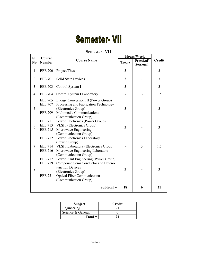# **Semester- VII**

#### **Semester- VII Sl. No Course Number Course Name Hours/Week Credit Theory Practical/ Sessional** 1 | EEE 700 | Project/Thesis 3 | 3 | 3 | 3 | 3 2 EEE 701 Solid State Devices 3 3 - 3 3 EEE 703 Control System I 3 3 - 3 4 | EEE 704 | Control System I Laboratory | - | 3 | 1.5 5 EEE 705 EEE 707 EEE 709 Energy Conversion III (Power Group) Processing and Fabrication Technology (Electronics Group) Multimedia Communications (Communication Group) 3 - 3 6 EEE 711 EEE 713 EEE 715 Power Electronics (Power Group) VLSI I (Electronics Group) Microwave Engineering (Communication Group) 3 - 3 7 EEE 712 EEE 714 EEE 716 Power Electronics Laboratory (Power Group) VLSI I Laboratory (Electronics Group) Microwave Engineering Laboratory (Communication Group) - 3 1.5 8 EEE 717 EEE 719 EEE 721 Power Plant Engineering (Power Group) Compound Semi Conductor and Heterojunction Devices (Electronics Group) Optical Fiber Communication 3 | - | 3

| <b>Subject</b>    | Credit |
|-------------------|--------|
| Engineering       |        |
| Science & General |        |
| $Total =$         |        |

 $\text{Subtotal} = \begin{vmatrix} 18 & 6 & 1 & 21 \end{vmatrix}$ 

(Communication Group)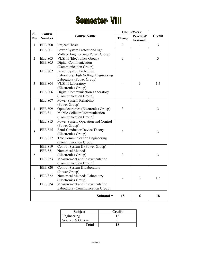# **Semester- VIII**

| SI.            |                                                    | Course                                                                                                                                                                           |               | Hours/Week                     |               |
|----------------|----------------------------------------------------|----------------------------------------------------------------------------------------------------------------------------------------------------------------------------------|---------------|--------------------------------|---------------|
| N <sub>0</sub> | <b>Number</b>                                      | <b>Course Name</b>                                                                                                                                                               | <b>Theory</b> | Practical/<br><b>Sessional</b> | <b>Credit</b> |
| $\mathbf{1}$   | <b>EEE 800</b>                                     | Project/Thesis                                                                                                                                                                   | 3             |                                | 3             |
| $\overline{2}$ | <b>EEE 801</b><br><b>EEE 803</b><br><b>EEE 805</b> | Power System Protection/High<br>Voltage Engineering (Power Group)<br><b>VLSI II</b> (Electronics Group)<br>Digital Communication                                                 | 3             |                                | 3             |
|                | <b>EEE 802</b>                                     | (Communication Group)<br>Power System Protection                                                                                                                                 |               |                                |               |
| 3              | <b>EEE 804</b><br><b>EEE 806</b>                   | Laboratory/High Voltage Engineering<br>Laboratory (Power Group)<br><b>VLSI II Laboratory</b><br>(Electronics Group)<br>Digital Communication Laboratory<br>(Communication Group) |               | 3                              | 1.5           |
| $\overline{4}$ | <b>EEE 807</b><br><b>EEE 809</b><br><b>EEE 811</b> | Power System Reliability<br>(Power Group)<br>Optoelectronics (Electronics Group)<br>Mobile Cellular Communication<br>(Communication Group)                                       | 3             |                                | 3             |
| 5              | <b>EEE 813</b><br><b>EEE 815</b><br><b>EEE 817</b> | Power System Operation and Control<br>(Power Group)<br>Semi-Conductor Device Theory<br>(Electronics Group)<br>Tele Communication Engineering<br>(Communication Group)            | 3             |                                | 3             |
| 6              | <b>EEE 819</b><br><b>EEE 821</b><br><b>EEE 823</b> | Control System II (Power Group)<br>Numerical Methods<br>(Electronics Group)<br>Measurement and Instrumentation<br>(Communication Group)                                          | 3             |                                | 3             |
| $\overline{7}$ | <b>EEE 820</b><br><b>EEE 822</b><br><b>EEE 824</b> | Control System II Laboratory<br>(Power Group)<br>Numerical Methods Laboratory<br>(Electronics Group)<br>Measurement and Instrumentation<br>Laboratory (Communication Group)      |               | 3                              | 1.5           |
|                |                                                    | $Subtotal =$                                                                                                                                                                     | 15            | 6                              | 18            |

| <b>Subject</b>    | Credit |
|-------------------|--------|
| Engineering       |        |
| Science & General |        |
| $Total =$         |        |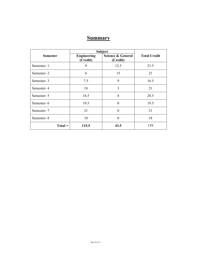## **Summary**

|                 | <b>Subject</b>                 |                               |                     |  |
|-----------------|--------------------------------|-------------------------------|---------------------|--|
| <b>Semester</b> | <b>Engineering</b><br>(Credit) | Science & General<br>(Credit) | <b>Total Credit</b> |  |
| Semester-1      | 9                              | 12.5                          | 21.5                |  |
| Semester-2      | 6                              | 15                            | 21                  |  |
| Semester-3      | 7.5                            | 9                             | 16.5                |  |
| Semester-4      | 18                             | 3                             | 21                  |  |
| Semester-5      | 16.5                           | $\overline{4}$                | 20.5                |  |
| Semester-6      | 19.5                           | $\Omega$                      | 19.5                |  |
| Semester-7      | 21                             | $\theta$                      | 21                  |  |
| Semester-8      | 18                             | $\theta$                      | 18                  |  |
| $Total =$       | 115.5                          | 43.5                          | 159                 |  |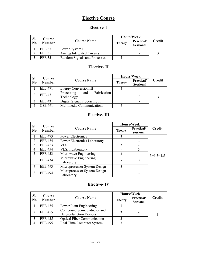## **Elective Course**

## **Elective- I**

| SI.            | Course         |                              |               | Hours/Week                     |               |
|----------------|----------------|------------------------------|---------------|--------------------------------|---------------|
| N <sub>0</sub> | <b>Number</b>  | <b>Course Name</b>           | <b>Theory</b> | Practical/<br><b>Sessional</b> | <b>Credit</b> |
|                | <b>EEE 371</b> | Power System II              |               |                                |               |
|                | <b>EEE 351</b> | Analog Integrated Circuits   |               |                                |               |
|                | <b>EEE 331</b> | Random Signals and Processes |               |                                |               |

## **Elective- II**

| SI.            | Course         |                                                |               | <b>Hours/Week</b>              |               |
|----------------|----------------|------------------------------------------------|---------------|--------------------------------|---------------|
| N <sub>0</sub> | <b>Number</b>  | <b>Course Name</b>                             | <b>Theory</b> | Practical/<br><b>Sessional</b> | <b>Credit</b> |
|                | <b>EEE 471</b> | <b>Energy Conversion III</b>                   |               |                                |               |
|                | <b>EEE 451</b> | Fabrication<br>Processing<br>and<br>Technology |               |                                | 3             |
|                | <b>EEE 431</b> | Digital Signal Processing II                   |               |                                |               |
|                | <b>CSE 491</b> | Multimedia Communications                      |               |                                |               |

## **Elective- III**

| SI.                         | Course         |                                            |               | Hours/Week                             |               |
|-----------------------------|----------------|--------------------------------------------|---------------|----------------------------------------|---------------|
| N <sub>0</sub>              | <b>Number</b>  | <b>Course Name</b>                         | <b>Theory</b> | <b>Practical</b> /<br><b>Sessional</b> | <b>Credit</b> |
|                             | <b>EEE 473</b> | <b>Power Electronics</b>                   | 3             |                                        |               |
| $\mathcal{D}_{\mathcal{L}}$ | <b>EEE 474</b> | <b>Power Electronics Laboratory</b>        |               | 3                                      |               |
| 3                           | <b>EEE 453</b> | VLSI I                                     | 3             |                                        |               |
| 4                           | <b>EEE 454</b> | <b>VLSI I Laboratory</b>                   |               | 3                                      |               |
| 5                           | <b>EEE 433</b> | Microwave Engineering                      | 3             |                                        | $3+1.5=4.5$   |
| 6                           | <b>EEE 434</b> | Microwave Engineering<br>Laboratory        |               | 3                                      |               |
| 7                           | <b>EEE 493</b> | Microprocessor System Design               | 3             |                                        |               |
| 8                           | <b>EEE 494</b> | Microprocessor System Design<br>Laboratory |               | 3                                      |               |

## **Elective- IV**

| SI.<br>Course  |                |                                                       | Hours/Week    |                                |               |
|----------------|----------------|-------------------------------------------------------|---------------|--------------------------------|---------------|
| N <sub>0</sub> | <b>Number</b>  | <b>Course Name</b>                                    | <b>Theory</b> | Practical/<br><b>Sessional</b> | <b>Credit</b> |
|                | <b>EEE 475</b> | Power Plant Engineering                               |               |                                |               |
|                | <b>EEE 455</b> | Compound Semiconductor and<br>Hetero-Junction Devices | 3             |                                | 3             |
|                | <b>EEE 435</b> | <b>Optical Fiber Communication</b>                    |               |                                |               |
|                | <b>EEE 495</b> | Real Time Computer System                             |               |                                |               |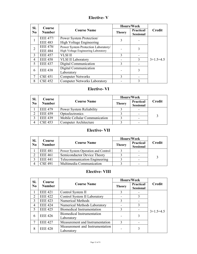## **Elective- V**

| SI.            | Course          |                                     |               | <b>Hours/Week</b>                      |               |
|----------------|-----------------|-------------------------------------|---------------|----------------------------------------|---------------|
| N <sub>0</sub> | <b>Number</b>   | <b>Course Name</b>                  | <b>Theory</b> | <b>Practical</b> /<br><b>Sessional</b> | <b>Credit</b> |
| 1              | <b>EEE 477/</b> | Power System Protection/            | 3             |                                        |               |
|                | <b>EEE 483</b>  | High Voltage Engineering            |               |                                        |               |
| $\overline{2}$ | <b>EEE 478/</b> | Power System Protection Laboratory/ |               | 3                                      |               |
|                | <b>EEE 484</b>  | High Voltage Engineering Laboratory |               |                                        |               |
| 3              | <b>EEE 457</b>  | <b>VLSI II</b>                      | 3             |                                        |               |
| 4              | <b>EEE 458</b>  | <b>VLSI II Laboratory</b>           |               | 3                                      | $3+1.5=4.5$   |
| 5              | <b>EEE 437</b>  | Digital Communication               | 3             |                                        |               |
|                |                 | Digital Communication               |               | 3                                      |               |
| 6              | <b>EEE 438</b>  | Laboratory                          |               |                                        |               |
|                | <b>CSE 451</b>  | <b>Computer Networks</b>            | 3             |                                        |               |
| 8              | <b>CSE 452</b>  | <b>Computer Networks Laboratory</b> |               | 3                                      |               |

## **Elective- VI**

| SI.            | Course         |                               |               | Hours/Week                     |               |
|----------------|----------------|-------------------------------|---------------|--------------------------------|---------------|
| N <sub>0</sub> | <b>Number</b>  | <b>Course Name</b>            | <b>Theory</b> | Practical/<br><b>Sessional</b> | <b>Credit</b> |
|                | <b>EEE 479</b> | Power System Reliability      |               | $\overline{\phantom{a}}$       |               |
|                | <b>EEE 459</b> | Optoelectronics               | ζ             | $\overline{\phantom{0}}$       |               |
|                | <b>EEE 439</b> | Mobile Cellular Communication |               |                                |               |
|                | <b>CSE 453</b> | Computer Architecture         |               | $\overline{\phantom{0}}$       |               |

## **Elective- VII**

| SI.<br>Course  |                |                                      | Hours/Week    |                                |               |
|----------------|----------------|--------------------------------------|---------------|--------------------------------|---------------|
| N <sub>0</sub> | <b>Number</b>  | <b>Course Name</b>                   | <b>Theory</b> | Practical/<br><b>Sessional</b> | <b>Credit</b> |
|                | <b>EEE 481</b> | Power System Operation and Control   |               |                                |               |
|                | <b>EEE 461</b> | Semiconductor Device Theory          |               |                                | 3             |
|                | <b>EEE 441</b> | <b>Telecommunication Engineering</b> |               |                                |               |
|                | <b>CSE 491</b> | Multimedia Communication             |               |                                |               |

## **Elective- VIII**

| SI.            | Course         |                                                 |               | Hours/Week                             |               |
|----------------|----------------|-------------------------------------------------|---------------|----------------------------------------|---------------|
| N <sub>0</sub> | <b>Number</b>  | <b>Course Name</b>                              | <b>Theory</b> | <b>Practical</b> /<br><b>Sessional</b> | <b>Credit</b> |
|                | <b>EEE 421</b> | Control System II                               | 3             |                                        |               |
| $\mathcal{D}$  | <b>EEE 422</b> | Control System II Laboratory                    |               | 3                                      |               |
| 3              | <b>EEE 423</b> | <b>Numerical Methods</b>                        | 3             |                                        |               |
| 4              | <b>EEE 424</b> | Numerical Methods Laboratory                    |               | 3                                      |               |
| $\overline{5}$ | <b>EEE 425</b> | <b>Biomedical Instrumentation</b>               | 3             |                                        | $3+1.5=4.5$   |
| 6              | <b>EEE 426</b> | <b>Biomedical Instrumentation</b><br>Laboratory |               | 3                                      |               |
|                | <b>EEE 427</b> | Measurement and Instrumentation                 | $\mathbf{3}$  |                                        |               |
| 8              | <b>EEE 428</b> | Measurement and Instrumentation<br>Laboratory   |               |                                        |               |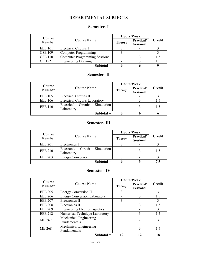## **DEPARTMENTAL SUBJECTS**

### **Semester- I**

| Course |                | Hours/Week                            |               |                                |               |
|--------|----------------|---------------------------------------|---------------|--------------------------------|---------------|
|        | <b>Number</b>  | <b>Course Name</b>                    | <b>Theory</b> | Practical/<br><b>Sessional</b> | <b>Credit</b> |
|        | <b>EEE 101</b> | Electrical Circuits I                 |               |                                |               |
|        | <b>CSE 109</b> | <b>Computer Programming</b>           |               |                                |               |
|        | <b>CSE 110</b> | <b>Computer Programming Sessional</b> |               |                                | 1.5           |
|        | <b>CE 152</b>  | <b>Engineering Drawing</b>            |               |                                | 1.5           |
|        |                | $Subtotal =$                          |               |                                |               |

## **Semester- II**

| Course         |                                              | Hours/Week    |                                |               |
|----------------|----------------------------------------------|---------------|--------------------------------|---------------|
| <b>Number</b>  | <b>Course Name</b>                           | <b>Theory</b> | Practical/<br><b>Sessional</b> | <b>Credit</b> |
| <b>EEE 105</b> | <b>Electrical Circuits II</b>                |               |                                |               |
| <b>EEE 106</b> | <b>Electrical Circuits Laboratory</b>        |               |                                |               |
| <b>EEE 110</b> | Electrical Circuits Simulation<br>Laboratory |               |                                | 1.5           |
|                | $Subtotal =$                                 |               |                                |               |

## **Semester- III**

|  |                | Course                                            |               | Hours/Week                     |               |
|--|----------------|---------------------------------------------------|---------------|--------------------------------|---------------|
|  | <b>Number</b>  | <b>Course Name</b>                                | <b>Theory</b> | Practical/<br><b>Sessional</b> | <b>Credit</b> |
|  | <b>EEE 201</b> | Electronics I                                     |               |                                |               |
|  | <b>EEE 210</b> | Simulation<br>Circuit<br>Electronic<br>Laboratory |               |                                | 1.5           |
|  | <b>EEE 203</b> | <b>Energy Conversion I</b>                        |               |                                |               |
|  |                | $Subtotal =$                                      |               |                                | 7.5           |

## **Semester- IV**

| <b>Course</b>  |                                        |               | Hours/Week                             |        |
|----------------|----------------------------------------|---------------|----------------------------------------|--------|
| <b>Number</b>  | <b>Course Name</b>                     | <b>Theory</b> | <b>Practical</b> /<br><b>Sessional</b> | Credit |
| <b>EEE 205</b> | <b>Energy Conversion II</b>            | 3             |                                        | 3      |
| <b>EEE 206</b> | <b>Energy Conversion Laboratory</b>    |               |                                        | 1.5    |
| <b>EEE 207</b> | Electronics II                         | 3             |                                        | 3      |
| <b>EEE 208</b> | Electronics II                         |               | 3                                      | 1.5    |
| <b>EEE 209</b> | <b>Engineering Electromagnetics</b>    | 3             |                                        | 3      |
| <b>EEE 212</b> | Numerical Technique Laboratory         |               |                                        | 1.5    |
| <b>ME 267</b>  | Mechanical Engineering<br>Fundamentals | 3             |                                        | 3      |
| ME 268         | Mechanical Engineering<br>Fundamentals |               |                                        | 1.5    |
| $Subtotal =$   |                                        |               | 12                                     | 18     |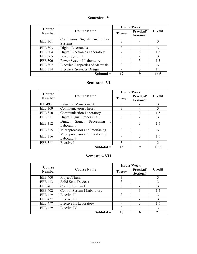## **Semester- V**

| Course         |                                                 |               | Hours/Week                     |               |
|----------------|-------------------------------------------------|---------------|--------------------------------|---------------|
| <b>Number</b>  | <b>Course Name</b>                              | <b>Theory</b> | Practical/<br><b>Sessional</b> | <b>Credit</b> |
| <b>EEE 301</b> | Continuous Signals and Linear<br><b>Systems</b> |               |                                |               |
| <b>EEE 303</b> | Digital Electronics                             | 3             |                                | 3             |
| <b>EEE 304</b> | Digital Electronics Laboratory                  |               |                                | 1.5           |
| <b>EEE 305</b> | Power System I                                  | 3             |                                |               |
| <b>EEE 306</b> | Power System I Laboratory                       |               |                                | 1.5           |
| <b>EEE 307</b> | <b>Electrical Properties of Materials</b>       |               |                                | 3             |
| <b>EEE 314</b> | <b>Electrical Services Design</b>               |               |                                | 1.5           |
|                | Subtotal $=$                                    | 12            |                                | 16.5          |

## **Semester- VI**

| Course         |                                              |               | Hours/Week                     |               |
|----------------|----------------------------------------------|---------------|--------------------------------|---------------|
| <b>Number</b>  | <b>Course Name</b>                           | <b>Theory</b> | Practical/<br><b>Sessional</b> | Credit        |
| <b>IPE 493</b> | <b>Industrial Management</b>                 | 3             |                                | 3             |
| <b>EEE 309</b> | <b>Communication Theory</b>                  | $\mathcal{F}$ |                                | 3             |
| <b>EEE 310</b> | <b>Communication Laboratory</b>              |               | 3                              | 1.5           |
| <b>EEE 311</b> | Digital Signal Processing I                  | 3             |                                | 3             |
| <b>EEE 312</b> | Digital Signal Processing<br>Laboratory      |               | 3                              | 1.5           |
| <b>EEE 315</b> | Microprocessor and Interfacing               | $\mathbf{3}$  |                                | 3             |
| <b>EEE 316</b> | Microprocessor and Interfacing<br>Laboratory |               | 3                              | 1.5           |
| EEE $3**$      | Elective I                                   | $\mathbf{3}$  |                                | $\mathcal{E}$ |
|                | $Subtotal =$                                 | 15            | q                              | 19.5          |

### **Semester- VII**

| Course         | <b>Course Name</b>          | Hours/Week    |                                        |               |
|----------------|-----------------------------|---------------|----------------------------------------|---------------|
| <b>Number</b>  |                             | <b>Theory</b> | <b>Practical</b> /<br><b>Sessional</b> | <b>Credit</b> |
| <b>EEE 400</b> | Project/Thesis              | 3             |                                        |               |
| <b>EEE 413</b> | <b>Solid State Devices</b>  | 3             |                                        |               |
| <b>EEE 401</b> | Control System I            | 3             |                                        |               |
| <b>EEE 402</b> | Control System I Laboratory |               |                                        | 1.5           |
| $EEE 4**$      | Elective II                 | 3             |                                        | 3             |
| EEE $4**$      | Elective III                | 3             |                                        |               |
| $EEE 4**$      | Elective III Laboratory     |               | 3                                      | 1.5           |
| $EEE 4**$      | Elective IV                 |               |                                        | 3             |
|                | $Subtotal =$                | 18            |                                        | 21            |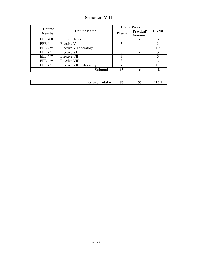## **Semester- VIII**

|                         |                              | Hours/Week    |                                |               |
|-------------------------|------------------------------|---------------|--------------------------------|---------------|
| Course<br><b>Number</b> | <b>Course Name</b>           | <b>Theory</b> | Practical/<br><b>Sessional</b> | <b>Credit</b> |
| <b>EEE 400</b>          | Project/Thesis               | 3             |                                |               |
| $EEE$ 4**               | Elective V                   |               |                                |               |
| $EEE 4**$               | <b>Elective V Laboratory</b> |               | 3                              | 1.5           |
| $EEE 4**$               | Elective VI                  |               |                                | 3             |
| $EEE 4**$               | Elective VII                 | 3             |                                | 3             |
| $EEE$ 4**               | Elective VIII                | 3             |                                | 3             |
| $EEE 4**$               | Elective VIII Laboratory     |               | 3                              | 1.5           |
|                         | $Subtotal =$                 | 15            |                                | 18            |

| $0 -$<br>Grand<br><b>otal</b><br>$=$<br>×<br>v,<br>- | --<br>- 1000 |
|------------------------------------------------------|--------------|
|------------------------------------------------------|--------------|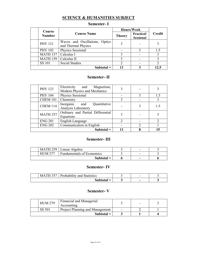## **SCIENCE & HUMANITIES SUBJECT**

| Course          |                                                       | Hours/Week    |                                |               |
|-----------------|-------------------------------------------------------|---------------|--------------------------------|---------------|
| <b>Number</b>   | <b>Course Name</b>                                    | <b>Theory</b> | Practical/<br><b>Sessional</b> | <b>Credit</b> |
| <b>PHY 121</b>  | Waves and Oscillations, Optics<br>and Thermal Physics |               |                                |               |
| PHY 102         | Physics Sessional                                     |               |                                | 1.5           |
| <b>MATH 157</b> | Calculus I                                            |               |                                |               |
| <b>MATH 159</b> | Calculus II                                           |               |                                |               |
| <b>SS 101</b>   | Social Studies                                        |               |                                |               |
|                 | Subtotal $=$                                          |               |                                |               |

## **Semester- I**

## **Semester- II**

| <b>PHY 123</b>  | Electricity and<br>Magnetism,<br>Modern Physics and Mechanics |  |     |
|-----------------|---------------------------------------------------------------|--|-----|
| <b>PHY 104</b>  | Physics Sessional                                             |  | 1.5 |
| CHEM 101        | Chemistry                                                     |  |     |
| <b>CHEM 114</b> | Quantitative<br>Inorganic and<br>Analysis Laboratory          |  | 1.5 |
| <b>MATH 257</b> | Ordinary and Partial Differential<br>Equations                |  |     |
| <b>ENG 201</b>  | English Language                                              |  |     |
| <b>ENG 202</b>  | Communication in English                                      |  |     |
|                 | $Subtotal =$                                                  |  |     |

### **Semester- III**

|              |                | MATH 259   Linear Algebra        | $\overline{\phantom{0}}$ |  |
|--------------|----------------|----------------------------------|--------------------------|--|
|              | <b>HUM 277</b> | <b>Fundamentals of Economics</b> | -                        |  |
| $Subtotal =$ |                | $\sim$                           |                          |  |

## **Semester- IV**

| $\bigcap$<br>MA <sup>-</sup><br>$\mathbf{H}$ | Probability and Statistics | $\overline{\phantom{0}}$ |  |
|----------------------------------------------|----------------------------|--------------------------|--|
|                                              | $Subtotal =$               | $\overline{\phantom{a}}$ |  |

### **Semester- V**

|        | <b>HUM 279</b> | Financial and Managerial<br>Accounting |  |  |
|--------|----------------|----------------------------------------|--|--|
| SS 501 |                | Project Planning and Management        |  |  |
|        |                | $Subtotal =$                           |  |  |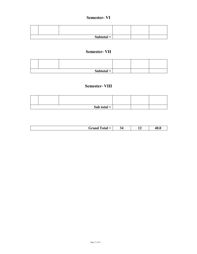### **Semester- VI**

|  | Subtotal $=$ |  |  |
|--|--------------|--|--|

## **Semester- VII**

|  | Subtotal $=$ |  |  |
|--|--------------|--|--|

## **Semester- VIII**

|  | Sub total $=$ |  |  |
|--|---------------|--|--|

| $\sim$<br>`otal =<br>Grand | 34 | <br>-- | 40.<br>TV.U |
|----------------------------|----|--------|-------------|
|                            |    |        |             |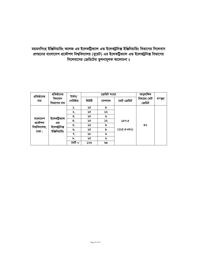## সয়মনসিংহ ইঞ্জিনিয়ারিং কলেজ এর ইলেকট্রিক্যাল এন্ড ইলেকট্রনিক্স ইঞ্জিনিয়ারিং বিভাগের সিলেবাস প্রণয়নের বাংলাদেশ প্রকৌশল বিশ্ববিদ্যালয় (বুয়েট) এর ইলেকট্রিক্যাল এন্ড ইলেকট্রনিক্স বিভাগের *সি*লেবাসের ক্রেডিটের তুলনামূলক আলোচনা ঃ

| প্রতিষ্ঠানের        | প্রতিষ্ঠানের            | টাৰ্মস/   |       | ক্ৰেডিট সংখ্যা |             | আনুষাঙ্গিক             |        |
|---------------------|-------------------------|-----------|-------|----------------|-------------|------------------------|--------|
| নাম                 | বিদ্যমান<br>বিভাগের নাম | সেমিষ্টার | থিউরী | সেশনাল         | মোট ক্ৰেডিট | বিষয়ের মোট<br>ক্ৰেডিট | মম্ড্য |
|                     |                         | ١.        | ১৫    | ৯              |             |                        |        |
|                     |                         | ২.        | ১৫    | ১২             |             |                        |        |
|                     | ইলেকট্ৰিক্যাল           | ৩.        | ১৫    | ৬              |             |                        |        |
| বাংলাদেশ<br>প্ৰকৌশল | এন্ড                    | 8.        | ১৫    | ১২             | ১৫৭.৫       |                        |        |
| বিশ্ববিদ্যালয়,     | ইলেক্ট্ৰনিক্স           | ¢.        | ১৫    | ৯              |             | ৪২                     |        |
| ঢাকা।               | ইঞ্জিনিয়ারিং           | ৬.        | ১৫    | ৯              | $(58+3.56)$ |                        |        |
|                     |                         | ٩.        | ১৮    | ৬              |             |                        |        |
|                     |                         | ৮.        | ১৫    | ৬              |             |                        |        |
|                     |                         | মেট $=$   | ১২৩   | ৬৯             |             |                        |        |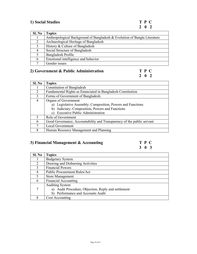## **1) Social Studies T P C**

| Sl. No | <b>Topics</b>                                                             |
|--------|---------------------------------------------------------------------------|
|        | Anthropological Background of Bangladesh & Evolution of Bangla Literature |
| 2      | Archaeological Heritage of Bangladesh                                     |
|        | History & Culture of Bangladesh                                           |
|        | Social Structure of Bangladesh                                            |
|        | Bangladesh Profile                                                        |
| 6      | Emotional intelligence and behavior                                       |
|        | Gender issues                                                             |

## **2) Government & Public Administration T P C**

## **2 0 2**

| Sl. No       | <b>Topics</b>                                                          |  |
|--------------|------------------------------------------------------------------------|--|
|              | <b>Constitution of Bangladesh</b>                                      |  |
| 2            | Fundamental Rights as Enunciated in Bangladesh Constitution            |  |
| $\mathbf{3}$ | Forms of Government of Bangladesh.                                     |  |
| 4            | Organs of Government                                                   |  |
|              | a) Legislative Assembly: Composition, Powers and Functions             |  |
|              | b) Judiciary-Composition, Powers and Functions                         |  |
|              | <b>Executive Public Administration</b><br>$\mathbf{c}$ )               |  |
|              | Role of Government                                                     |  |
| 6            | Good Governance, Accountability and Transparency of the public servant |  |
|              | <b>Local Government</b>                                                |  |
| 8            | Human Resource Management and Planning                                 |  |

## **3) Financial Management & Accounting T P C**

## **3 0 3**

| SI. No                      | <b>Topics</b>                                       |  |  |  |
|-----------------------------|-----------------------------------------------------|--|--|--|
|                             | <b>Budgetary System</b>                             |  |  |  |
| 2                           | Drawing and Disbursing Activities                   |  |  |  |
|                             | <b>Financial Powers</b>                             |  |  |  |
| 4                           | <b>Public Procurement Rules/Act</b>                 |  |  |  |
| $\mathcal{L}_{\mathcal{L}}$ | <b>Store Management</b>                             |  |  |  |
| 6                           | <b>Financial Accounting</b>                         |  |  |  |
|                             | <b>Auditing System</b>                              |  |  |  |
|                             | a) Audit Procedure, Objection, Reply and settlement |  |  |  |
|                             | b) Performance and Accounts Audit                   |  |  |  |
|                             | Cost Accounting                                     |  |  |  |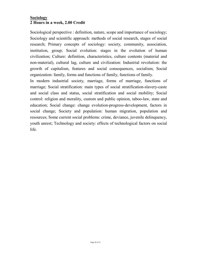## **Sociology 2 Hours in a week, 2.00 Credit**

Sociological perspective : definition, nature, scope and importance of sociology; Sociology and scientific approach: methods of social research, stages of social research; Primary concepts of sociology: society, community, association, institution, group; Social evolution: stages in the evolution of human civilization; Culture: definition, characteristics, culture contents (material and non-material), cultural lag, culture and civilization: Industrial revolution: the growth of capitalism, features and social consequences, socialism; Social organization: family, forms and functions of family, functions of family.

In modern industrial society, marriage, forms of marriage, functions of marriage; Social stratification: main types of social stratification-slavery-caste and social class and status, social stratification and social mobility; Social control: religion and morality, custom and public opinion, taboo-law, state and education; Social change: change evolution-progress-development, factors in social change; Society and population: human migration, population and resources; Some current social problems: crime, deviance, juvenile delinquency, youth unrest; Technology and society: effects of technological factors on social life.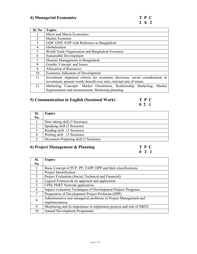| SI. No                   | <b>Topics</b>                                                                 |  |  |  |
|--------------------------|-------------------------------------------------------------------------------|--|--|--|
|                          | Micro and Macro Economics                                                     |  |  |  |
| 2                        | Market Economy                                                                |  |  |  |
| 3                        | GDP, GNP, NNP with Reference to Bangladesh                                    |  |  |  |
| $\overline{4}$           | Globalization                                                                 |  |  |  |
| $\overline{\mathcal{L}}$ | World Trade Organization and Bangladesh Economy                               |  |  |  |
| 6                        | Sustainable Development                                                       |  |  |  |
|                          | Disaster Management in Bangladesh                                             |  |  |  |
| 8                        | Gender: Concept. and Issues                                                   |  |  |  |
| 9                        | <b>Allocation of Resources</b>                                                |  |  |  |
| 10                       | Economic Indicators of Development                                            |  |  |  |
| 11                       | Investment Appraisal criteria for economic decisions, social consideration in |  |  |  |
|                          | investment, present worth, benefit-cost ratio, internal rate of return.       |  |  |  |
| 12                       | Marketing Concepts: Market Orientation, Relationship Marketing,<br>Market     |  |  |  |
|                          | Segmentation and measurement, Marketing planning.                             |  |  |  |

## **5) Communication in English (Sessional Work) T P C**

**0 2 1**

| SI.            | <b>Topics</b>                         |
|----------------|---------------------------------------|
| N <sub>0</sub> |                                       |
|                | Note taking skill (3 Sessions)        |
|                | Speaking skill (3 Sessions)           |
| 2              | Reading skill (3 Sessions)            |
| 4              | Writing skill (3 Sessions)            |
|                | Document Preparing skill (2 Sessions) |

## **6) Project Management & Planning**

| T | P | € |
|---|---|---|
| 0 | 2 | 1 |

| SI.                         | <b>Topics</b>                                                        |
|-----------------------------|----------------------------------------------------------------------|
| N <sub>0</sub>              |                                                                      |
|                             | Basic Concept of PCP, PP, TAPP, DPP and their classifications.       |
| $\mathcal{D}_{\mathcal{L}}$ | Project Identification                                               |
| 3                           | Project Evaluation (Social, Technical and Financial)                 |
| 4                           | Logical Framework-its approach and application                       |
| 5                           | CPM, PERT Network application,                                       |
| 6                           | Impact evaluation Techniques of Development Project/ Programs        |
| 7                           | Preparation of Development Project Proforma (DPP)                    |
| 8                           | Administrative and managerial problems in Project Management and     |
|                             | implementation                                                       |
| 9                           | Monitoring and its importance to implement projects and role of IMED |
| 10                          | <b>Annual Development Programme</b>                                  |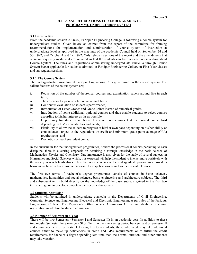#### **RULES AND REGULATIONS FOR UNDERGRADUATE PROGRAMME UNDER COURSE SYSTEM**

#### **3.1 Introduction**

From the academic session 2008-09, Faridpur Engineering College is following a course system for undergraduate studies. Given below an extract from the report of the committee for framing recommendations for implementation and administration of course system of instruction at undergraduate level as approved in the meetings of the academic Council held on September 24 and 30, 1992, and October 4 and 19, 1992. Only relevant sections of the report and the amendments that were subsequently made to it are included so that the students can have a clear understanding about Course System. The rules and regulations administering undergraduate curricula through Course System began applicable for students admitted to Faridpur Engineering College in First Year classes and subsequent sessions.

#### **3.1.1 The Course System**

The undergraduate curriculum at Faridpur Engineering College is based on the course system. The salient features of the course system are;

- i. Reduction of the number of theoretical courses and examination papers around five in each term,
- ii. The absence of a pass or a fail on an annual basis,
- iii. Continuous evaluation of student's performance,
- iv. Introduction of Letter Grades and Grade Points instead of numerical grades,
- v. Introduction of some additional optional courses and thus enable students to select courses according to his/her interest as far as possible,
- vi. Opportunity for students to choose fewer or more courses that the normal course load depending on his/her capabilities and needs,
- vii. Flexibility to allow the student to progress at his/her own pace depending on his/her ability or convenience, subject to the regulations on credit and minimum grade point average (GPA) requirements, and
- viii. Promotion of teacher-student contact.

In the curriculum for the undergraduate programmes, besides the professional courses pertaining to each discipline, there is a storing emphasis on acquiring a through knowledge in the basic science of Mathematics, Physics and Chemistry. Due importance is also given for the study of several subjects in Humanities and Social Sciences which, it is expected will help the student to interact more positively with the society in which he/she/lives. Thus the course contents of the undergraduate programmes provide a harmonious blend of both basic sciences and their applications as well as their social relevance.

The first two terms of bachelor's degree programmes consist of courses in basic sciences, mathematics, humanities and social sciences, basic engineering and architecture subjects. The third and subsequent terms build directly on the knowledge of the basic subjects gained in the first two terms and go on to develop competence in specific disciplines.

#### **3.2 Students Admission**

Students will be admitted in undergraduate curricula in the Departments of Civil Engineering, Computer Science and Engineering, Electrical and Electronic Engineering as per rules of the Faridpur Engineering College. The Registrar's Office serves Admissions Office and deals with course registration in addition to student admission.

#### **3.3 Number of Semester in a Year**

There will be two Semesters (Semester I and Semester II) in an academic year. In addition to these two regular Semester there may be a Short Term in the intervening period between and of Semester II and commencement of Semester I. During this term students, those who need, may take additional courses either to make up deficiencies in credit and GPA requirements or to fulfill the credit requirements for bachelor's degree spending less time than the normal duration; and other students may take vacation.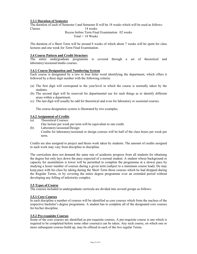#### **3.3.1 Duration of Semester**

The duration of each of Semester I and Semester II will be 18 weeks which will be used as follows: Classes 14 weeks

## Recess before Term Final Examination 02 weeks

 $Total = 18$  Weeks

The duration of a Short Term will be around 8 weeks of which about 7 weeks will be spent for class lectures and one week for Term Final Examination.

#### **3.4 Course Pattern and Credit Structure**

The entire undergraduate programme is covered through a set of theoretical and laboratory/sessional/studio courses.

#### **3.4.1 Course Designation and Numbering System**

Each course is designated by a two to four letter word identifying the department, which offers it followed by a three digit number with the following criteria:

- (a) The first digit will correspond to the year/level in which the course is normally taken by the studetns.
- (b) The second digit will be reserved for departmental use for such things as to identify different areas within a department.
- (c) The last digit will usually be odd for theoretical and even for laboratory or sessional courses.

The course designation system is illustrated by two examples.

#### **3.4.2 Assignment of Credits**

(a) Theoretical Courses:

One lecture per week per term will be equivalent to one credit.

(b) Laboratory/sessional/Design: Credits for laboratory/sessional or design courses will be half of the class hours per week per term.

Credits are also assigned to project and thesis work taken by students. The amount of credits assigned to such work may vary from discipline to discipline.

The curriculum does not demand the same rate of academic progress from all students for obtaining the degree but only lays down the pace expected of a normal student. A student whose background or capacity for assimilation is lower will be permitted to complete the programme at a slower pace by studying a lesser number of courses during a given term (subject to a minimum course load). He may keep pace with his class by taking during the Short Term those courses which he had dropped during the Regular Terms, or by covering the entire degree programme over an extended period without developing any felling of inferiority complex.

#### **3.5 Types of Course**

The courses included in undergraduate curricula are divided into several groups as follows:

#### **3.5.1 Core Courses**

In each discipline a number of courses will be identified as core courses which form the nucleus of the respective bachelor's degree programme. A student has to complete all of the designated core courses for his/her discipline.

#### **3.5.2 Pre-requisite Courses**

Some of the core courses are identified as pre-requisite courses. A pre-requisite course is one which is required to be completed before some other course(s) can be taken. Any such course, on which one or more subsequent courses build up, may be offered in each of the two regular Terms.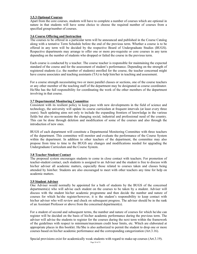#### **3.5.3 Optional Courses**

Apart from the core courses, students will have to complete a number of courses which are optional in nature in that students will have some choice to choose the required number of courses from a specified group/number of courses.

#### **3.6 Course Offering and Instruction**

The courses to be offered in a particular term will be announced and published in the Course Catalog along with a tentative Term Schedule before the end of the previous term. Whether a course is to be offered in any term will be decided by the respective Board of Undergraduate Studies (BUGS). Respective departments may arrange to offer one or more pre-requisite or core courses in any term depending on the number of students who dropped or failed the course in the previous term.

Each course is conducted by a teacher. The course teacher is responsible for maintaining the expected standard of the course and for the assessment of student's performance. Depending on the strength of registered students (i.e. the number of students) enrolled for the course, the teacher concerned might have course associates and teaching assistants (TA) to help him/her in teaching and assessment.

For a course strength necessitating two or more parallel classes or sections, one of the course teachers or any other member of the teaching staff of the department may be designated as course coordinator. He/She has the full responsibility for coordinating the work of the other members of the department involving in that course.

#### **3.7 Departmental Monitoring Committee**

Consistent with its resilient policy to keep pace with new developments in the field of science and technology, the university will update its course curriculum at frequent intervals (at least every three years). Such updating aims not only to include the expanding frontiers of knowledge in the various fields but also to accommodate the changing social, industrial and professional need of the country. This can be done through deletion and modification of some of the courses and also through the introduction of new ones.

BUGS of each department will constitute a Departmental Monitoring Committee with three teachers of the department. This committee will monitor and evaluate the performance of the Course System within the department. In addition to other teachers of the department, the committee may also propose from time to time to the BUGS any changes and modifications needed for upgrading the Undergraduate Curriculum and the Course System.

#### **3.8 Teacher Student Contact**

The proposed system encourages students to come in close contact with teachers. For promotion of teacher-student contact, each students is assigned to an Adviser and the student is free to discuss with his/her adviser all academic matters, especially those related to courses taken and classes being attended by him/her. Students are also encouraged to meet with other teachers any time for help on academic matters.

#### **3.9 Student Adviser**

One Adviser would normally be appointed for a bath of students by the BUGS of the concerned departments(s) who will advise each student on the courses to be taken by a student. Adviser will discuss with the student his/her academic programme and then decide the number and nature of courses for which he/she register/however, it is the student's responsibility to keep contact with his/her adviser who will review and check on subsequent progress. The adviser should be in the rank of an Assistant Professor or above from the concerned department(s).

For a student of second and subsequent terms, the number and nature of courses for which he/she can register will be decided on the basis of his/her academic performance during the previous term. The adviser will advise the students to register for the courses during the next term within the framework of the guidelines with respect to minimum/maximum credit hour limits, etc. Which are elaborated at appropriate places in this booklet. He/She is also authorized to permit the student to drop one or more courses based on his/her academic performance and the corresponding categorization (Art.3.16).

Special provisions exist for academically weak students with regard to make-up courses (Art.3.19).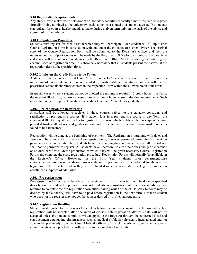#### **3.10 Registration Requirements**

Any student who makes use of classroom or laboratory facilities or faculty time is required to register formally. Being admitted to the university, each student is assigned to a student adviser. The students can register for courses he/she intends to make during a given term only on the basis of the advise and consent of his/her adviser.

#### **3.10.1 Registration Procedure**

Students must register for each class in which they will participate. Each student will fill up his/her Course Registration Form in consolation with and under the guidance of his/her adviser. The original copy of the Course Registration Form will be submitted to the Registrar's Office, and then the requisite number of photocopies will be made by the Registrar's Office for distribution. The date, time and venue will be announced in advance by the Registrar's Office. Much counseling and advising are accomplished at registration time. It is absolutely necessary that all students present themselves at the registration desk at the specified time.

#### **3.10.2 Limits on the Credit Hours to be Taken**

A students must be enrolled in at least 15 credit hours. He/She may be allowed to enroll in up to a maximum of 24 credit hours if recommended by his/her Adviser. A student must enroll for the prescribed sessional/laboratory courses in the respective Term within the allowed credit hour limits.

In special cases where a student cannot be allotted the minimum required 15 credit hours in a Term, the relevant BUGS may approve a lesser number of credit hours to suit individual requirements. Such cases shall only be applicable to students needing less than 15 credits for graduation

#### **3.10.3 Pre-condition for Registration**

A student will be allowed to register in those courses subject to the capacity constrains and satisfaction of pre-requisite courses. If a student fails in a pre-requisite course in any Term, the concerned BUGS may allow him/her to register for a course which builds on the pre-requisite course provided his/her attendance and grades in continuous assessment in the said pre-requisite course is found to be satisfactory.

Registration will be done at the beginning of each term. The Registration programme with dates and venue will be announced in advance. Late registration is, however, permitted during the first week on payment of a late registration fee. Students having outstanding dues to university or a hall of residence shall not be permitted to register. All students have, therefore, to clear their dues and get a clearance or no dues certificate, On the production of which, they will be given necessary Course Registration Forms and complete the corse registration procedure. Registration Forms will normally be available in the Register's Office. However, for the First Year students, prior department-wise ennoblement/admission is mandatory. An orientation programme will be conducted for them at the beginning of the first term when they will be handed over the registration package on production enrollment slip/proof of admission.

#### **3.10.4 Pre registration**

Pre-registration for courses to be offered by the students in a particular term will be done on specified dates before the end of the previous term. All students in consolation with their course advisers are required to complete the pre-registration formalities, failing which a fine of Tk. xxxx (amount may be decided by the authority) will have to be paid before registration in the next term. Further a student who does not pre-register may not get the courses desired by his/her subsequently.

#### **3.10.5 Registration Deadline**

Student must register for the courses to be taken before the commencement of each term and no late registration will be accepted after one week of classes. Late registration after this date will not be accepted unless the student submits a written appeal to the Registrar through the concerned Head and can document extenuating circumstances such as medical problems (physically incapacitated and not able to be presented) from the Chief Medical Officer of the University or some other academic commitments which precluded enrolling prior to the last date of registration.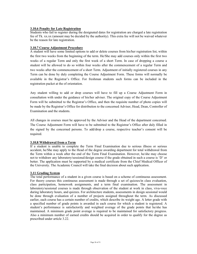#### **3.10.6 Penalty for Late Registration**

Students who fail to register during the designated dates for registration are charged a late registration fee of Tk. xx.xx (amount may be decided by the authority). This extra fee will not be waived whatever be the reason for late registration.

#### **3.10.7 Course Adjustment Procedure**

A student will have some limited options to add or delete courses from his/her registration list, within the first two weeks from the beginning of the term. He/She may add courses only within the first two weeks of a regular Term and only the first week of a short Term. In case of dropping a course a student will be allowed to do so within four weeks after the commencement of a regular Term and two weeks after the commencement of a short Term. Adjustment of initially registered courses in any Term can be done by duly completing the Course Adjustment Form. These forms will normally be available in the Registrar's Office. For freshman students such forms can be included in the registration packet at the of orientation.

Any student willing to add or drop courses will have to fill up a Course Adjustment Form in consultation with under the guidance of his/her adviser. The original copy of the Course Adjustment Form will be submitted to the Registrar's Office, and then the requisite number of photo copies will be made by the Registrar's Office for distribution to the concerned Adviser, Head, Dean, Controller of Examination and the students.

All changes in courses must be approved by the Adviser and the Head of the department concerned. The Course Adjustment Form will have to be submitted to the Registrar's Office after duly filled in the signed by the concerned persons. To add/drop a course, respective teacher's consent will be required.

#### **3.10.8 Withdrawal from a Term**

If a student is unable to complete the Term Final Examination due to serious illness or serious accident, he/She may apply to the Head of the degree awarding department for total withdrawal from the Term within a week after the end of the Term Final Examination. However, he/she may choose not to withdraw any laboratory/sessional/design course if the grade obtained in such a course is 'D' or better. The application must be supported by a medical certificate from the Chief Medical Officer of the University. The Academic Council will take the final decision about such application.

#### **3.11 Grading System**

The total performance of a student in a given course is based on a scheme of continuous assessment. For theory courses this continuous assessment is made through a set of quizzes/in class evaluation, class participation, homework assignments, and a term final examination. The assessment in laboratory/sessional courses is made through observation of the student at work in class, viva-voce during laboratory hours, and quizzes. For architecture students, assessments in design sessional would be done through evaluation of a number of projects assigned throughout the term. As discussed earlier, each course has a certain number of credits, which describe its weight age. A letter grade with a specified number of grade points is awarded in each course for which a student is registered. A student's performance is satisfactorily and weighted average of the grade points that he/she has maintained. A minimum grade point average is required to be maintained for satisfactory progress. Also a minimum number of earned credits should be acquired in order to qualify for the degree as prescribed under article 3.22.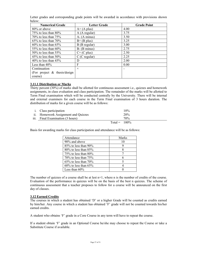| below:                          |                     |                    |
|---------------------------------|---------------------|--------------------|
| <b>Numerical Grade</b>          | <b>Letter Grade</b> | <b>Grade Point</b> |
| 80% or above                    | $A+ (A plus)$       | 4.00               |
| 75% to less than $80\%$         | A (A regular)       | 3.75               |
| 70% to less than $75%$          | $A - (A minus)$     | 3.50               |
| $65\%$ to less than $70\%$      | $B+$ (B plus)       | 3.25               |
| $60\%$ to less than $65\%$      | B (B regular)       | 3.00               |
| 55% to less than $60\%$         | $B - (B minus)$     | 2.75               |
| $50\%$ to less than $55\%$      | $C+$ (C plus)       | 2.50               |
| 45% to less than 50%            | $C(C$ regular)      | 2.25               |
| 40% to less than $45%$          | D                   | 2.00               |
| Less than $40\%$                | F                   | 0.00               |
| Continuation                    | $\times$            |                    |
| (For project $\&$ thesis/design |                     |                    |

Letter grades and corresponding grade points will be awarded in accordance with provisions shown

#### **3.11.1 Distribution or Marks**

course)

Thirty percent (30%) of marks shall be allotted for continuous assessment i.e., quizzes and homework assignments, in class evaluation and class participation. The remainder of the marks will be allotted to Term Final examination which will be conducted centrally by the University. There will be internal and external examiners for each course in the Term Final examination of 3 hours duration. The distribution of marks for a given course will be as follows:

| <i>i.</i> Class participation       |                 | 10% |
|-------------------------------------|-----------------|-----|
| ii. Homework Assignment and Quizzes |                 | 20% |
| iii. Final Examination (3 hours)    |                 | 70% |
|                                     | $Total = 100\%$ |     |

Basis for awarding marks for class participation and attendance will be as follows:

| Attendance                 | Marks |
|----------------------------|-------|
| 90% and above              | 10    |
| $85\%$ to less than 90%    |       |
| $80\%$ to less than $85\%$ |       |
| $75\%$ to less than 80%    |       |
| 70\% to less than $75\%$   |       |
| $65\%$ to less than $70\%$ |       |
| $60\%$ to less than $65\%$ |       |
| Less than $60\%$           |       |

The number of quizzes of a course shall be at lest  $n+1$ , where n is the number of credits of the course. Evaluation of the performance in quizzes will be on the basis of the best n quizzes. The scheme of continuous assessment that a teacher proposes to follow for a course will be announced on the first day of classes.

#### **3.12 Earned Credits**

The courses in which a student has obtained 'D' or a higher Grade will be counted as credits earned by him/her. Any course in which a student has obtained 'F' grade will not be counted towards his/her earned credits.

A student who obtains 'F' grade in a Core Course in any term will have to repeat the course.

If a student obtain 'F' grade in an Optional Course he/she may choose to repeat the Course or take a Substitute Course if available.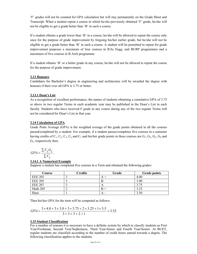'F' grades will not be counted for GPA calculation but will stay permanently on the Grade Sheet and Transcript. When a student repeat a course in which he/she previously obtained 'F' grade, he/she will not be eligible to get a grade better than 'B' in such a course.

If a student obtains a grade lower than 'B' in a course, he/she will be allowed to repeat the course only once for the purpose of grade improvement by forgoing his/her earlier grade, but he/she will not be eligible to get a grade better than 'B' in such a course. A student will be permitted to repeat for grade improvement purposes a maximum of four courses in B.Sc Engg. and BURP programmes and a maximum of five courses in B Arch programme.

If a student obtains 'B' or a better grade in any course, he/she will not be allowed to repeat the course for the purpose of grade improvement.

#### **3.13 Honours**

Candidates for Bachelor's degree in engineering and architecture will be awarded the degree with honours if their over all GPA is 3.75 or better.

#### **3.13.1 Dean's List**

As a recognition of excellent performance, the names of students obtaining a cumulative GPA of 3.75 or above in two regular Terms in each academic year may be published in the Dean's List in each faculty. Students who have received F grade in any course during any of the two regular Terms will not be considered for Dean's List in that year.

#### **3.14 Calculation of GPA**

Grade Point Average (GPA) is the weighted average of the grade points obtained in all the courses passed/completed by a student. For example, if a student passes/completes five courses in a semester having credits of  $C_1$ ,  $C_2$ ,  $C_3$ ,  $C_4$  and  $C_5$  and his/her grade points in these courses are  $G_1$ ,  $G_2$ ,  $G_3$ ,  $G_4$  and  $G<sub>5</sub>$ , respectively then.

$$
GPA = \frac{\sum C_i G_i}{\sum C_i}.
$$

#### **3.14.1 A Numerical Example**

Suppose a student has completed five courses in a Term and obtained the following grades:

| Course         | <b>Credits</b> | Grade | <b>Grade points</b> |
|----------------|----------------|-------|---------------------|
| <b>EEE 203</b> |                |       | 4.00                |
| <b>EEE 205</b> |                |       | 3.00                |
| <b>EEE 207</b> |                | A     | 3.75                |
| Math 205       |                |       | 3.25                |
| Hum            |                | А -   | 3.50                |

Then his/her GPA for the term will be computed as follows:

$$
GPA = \frac{3 \times 4.0 + 3 \times 3.0 + 3 \times 3.75 + 2 \times 3.25 + 1 \times 3.5}{3 + 3 + 3 + 2 + 1} = 3.52
$$

#### **3.15 Student Classification**

For a number of reasons it is necessary to have a definite system by which to classify students as First Year/Freshman, Second Year/Sophomore, Third Year/Junior and Fourth Year/Senior. At BUET, regular students are classified according to the number of credit hours earned towards a degree. The following classification applies to the students.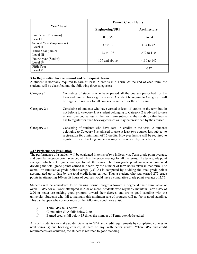|                                     | <b>Earned Credit Hours</b> |               |  |
|-------------------------------------|----------------------------|---------------|--|
| <b>Year/Level</b>                   | <b>Engineering/URP</b>     | Architecture  |  |
| First Year (Freshman)<br>Level I    | $0 \text{ to } 36$         | $0$ to 34     |  |
| Second Year (Sophomore)<br>Level II | 37 to 72                   | $>34$ to 72   |  |
| Third Year (Junior<br>Level III     | 73 to 108                  | $>72$ to 110  |  |
| Fourth year (Senior)<br>Level IV    | 109 and above              | $>110$ to 147 |  |
| Fifth Year<br>Level V               |                            | >147          |  |

#### **3.16 Registration for the Second and Subsequent Terms**

A student is normally required to earn at least 15 credits in a Term. At the end of each term, the students will be classified into the following three categories:

**Category 1 :** Consisting of students who have passed all the courses prescribed for the term and have no backlog of courses. A student belonging to Category 1 will be eligible to register for all courses prescribed for the next term. **Category 2 :** Consisting of students who have earned at least 15 credits in the term but do not belong to category 1. A student belonging to Category 2 is advised to take at least one course less in the next term subject to the condition that he/she has to register for such backlog courses as may be prescribed by the adviser. **Category 3 :** Consisting of students who have earn 15 credits in the term. A students belonging to Category 3 is advised to take at least two courses less subject to registration for a minimum of 15 credits. However he/she will be required to register for such backlog courses as may be prescribed by the adviser.

### **3.17 Performance Evaluation**

The performance of a student will be evaluated in terms of two indices, viz. Term grade point average, and cumulative grade point average, which is the grade average for all the terms. The term grade point average, which is the grade average for all the terms. The term grade point average is computed dividing the total grade points earned in a term by the number of term hours taken in that term. The overall or cumulative grade point average (CGPA) is computed by dividing the total grade points accumulated up to date by the total credit hours earned. Thus a student who was earned 275 grade points in attempting 100 credit hours of courses would have a cumulative grade point average of 2.75.

Students will be considered to be making normal progress toward a degree if their cumulative or overall GPA for all work attempted is 2.20 or more. Students who regularly maintain Term GPA of 2.20 or better are making good progress toward their degrees and are in good standing with the university. Students who fail to maintain this minimum rate of progress will not be in good standing. This can happen when one or more of the following conditions exist:

- i) Term GPA falls below 2.20,
- ii) Cumulative GPA falls below 2.20,
- iii) Earned credits fall below 15 times the number of Terms attended/studied.

All such students can make up deficiencies in GPA and credit requirements by completing courses in next terms (s) and backlog courses, if there be any, with better grades. When GPA and credit requirements are achieved, the student is returned to good standing.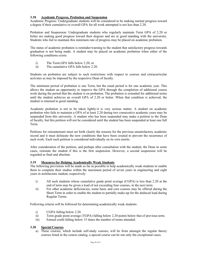#### **3.18 Academic Progress, Probation and Suspension**

Academic Progress: Undergraduate students will be considered to be making normal progress toward a degree if their cumulative or overall GPA for all work attempted is not less than 2.20.

Probation and Suspension: Undergraduate students who regularly maintain Term GPA of 2.20 or better are making good progress toward their degrees and are in good standing with the university. Students who fail to maintain this minimum rate of progress may be placed on academic probation.

The status of academic probation is reminder/warning to the student that satisfactory progress towards graduation is not being made. A student may be placed on academic probation when either of the following conditions exists:

- i) The Term GPA falls below 2.20, or
- ii) The cumulative GPA falls below 2.20.

Students on probation are subject to such restrictions with respect to courses and extracurricular activates as may be imposed by the respective Dean of faculty.

The minimum period of probation is one Term, but the usual period is for one academic year. This allows the student an opportunity to improve the GPA through the completion of additional course work during the period that the student is on probation. The probation is extended for additional terms until the student achieves an overall GPA of 2.20 or better. When that condition is achieved, the student is returned to good standing.

Academic probation is not to be taken lightly-it is very serious matter. A student on academic probation who fails to maintain a GPA of at least 2.20 during two consecutive academic years may be suspended from this university. A student who has been suspended may make a petition to the Dean of faculty, but this petition will not be considered until the student has been suspended at least one full Term.

Petitions for reinstatement must set forth clearly the reasons for the previous unsatisfactory academic record and it must delineate the new conditions that have been created to prevent the recurrence of such work. Each such petition is considered individually on its own merits.

After consideration of the petition, and perhaps after consultation with the student, the Dean in some cases, reinstate the student if this is the first suspension. However, a second suspension will be regarded as final and absolute.

#### **3.19 Measures for Helping Academically Weak Students**

The following provisions will be made as far as possible to help academically weak students to enable them to complete their studies within the maximum period of seven years in engineering and eight years in architecture student, respectively:

- i) All such students whose cumulative grade point average (CGPA) is less than 2.20 at the end of term may be given a load of not exceeding four courses, in the next term.
- ii) For other academic deficiencies, some basic and core courses may be offered during the Short Term in order to enable the student to partially make-up for the deduced load during Regular Terms.

Following criteria will be followed for determining academically weak students:

- i) CGPA falling below 2.20.
- ii) Term grade point average (TGPA) falling below 2.20 points below that of previous term.
- iii) Earned credit falling below 15 times the number of terms attended.

#### **3.20 Special Courses**

a) These courses, which include self-study courses, will be from amongst the regular theory courses listed in the course catalog, a special course can be run only the exceptional cases.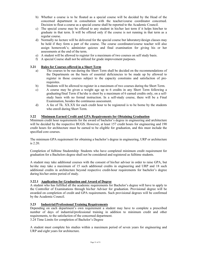- b) Whether a course is to be floated as a special course will be decided by the Head of the concerned department in consultation with the teacher/course coordinator concerned. Decision to float a course as a special course shall be reported to the Academic Council.
- c) The special course may be offered to any student in his/her last term if it helps him/her to graduate in that term. It will be offered only if the course is not running in that term as a regular course.
- d) Normally no lecture will be delivered for the special course but laboratory/design classes may be held if they form a part of the course. The course coordinator/course teacher will also assign homework's; administer quizzes and final examination for giving his or her assessments at the end of the term.
- e) A student will be allowed to register for a maximum of two courses on self study basis.
- f) A special Course shall not be utilized for grade improvement purposes.

#### **3.21 Rules for Courses offered in a Short Term**

- a) The courses to be run during the Short Term shall be decided on the recommendations of the Departments on the basis of essential deficiencies to be made up by allowed to register in those courses subject to the capacity constrains and satisfaction of prerequisites.
- b) Students will be allowed to register in a maximum of two courses during the Short Term.
- c) A course may be given a weight age up to 6 credits in any Short Term following a graduating/final Term if he/she is short by a maximum of 6 earned credits only, on a selfstudy basis with no formal instruction. In a self-study course, there will be a Final Examination, besides the continuous assessment.
- d) A fee of Tk. XX.XX for each credit hour to be registered is to be borne by the students who enroll during Short Term.

#### **3.22 Minimum Earned Credit and GPA Requirements for Obtaining Graduation**

Minimum credit hour requirements for the award of bachelor's degree in engineering and architecture will be decided by the respective BUGS. However, at least 157 credit hours for engineering and 190 credit hours for architecture must be earned to be eligible for graduation, and this must include the specified core courses.

The minimum GPA requirement for obtaining a bachelor's degree in engineering, URP or architecture is 2.20.

Completion of fulltime Studentship: Students who have completed minimum credit requirement for graduation for a Bachelors degree shall not be considered and registered as fulltime students.

A student may take additional courses with the consent of his/her adviser in order to raise GPA, but he/she may take a maximum of 15 such additional credits in engineering and URP and 18 such additional credits in architecture beyond respective credit-hour requirements for bachelor's degree during his/her entire period of study.

#### **3.22.1 Application for Graduation and Award of Degree**

A student who has fulfilled all the academic requirements for Bachelor's degree will have to apply to the Controller of Examinations through his/her Adviser for graduation. Provisional degree will be awarded on completion of credit and GPA requirements. Such provisional degrees will be confirmed by the Academic Council.

#### **3.23 Industrial/Professional Training Requirements**

Depending on each department's own requirement a student may have to complete a prescribed number of days of industrial/professional training in addition to minimum credit and other requirements, to the satisfaction of the concerned department.

3.24 Time Limits for completion of Bachelor's Degree

A student must complete his studies within a maximum period of seven years for engineering and URP and eight years for architecture.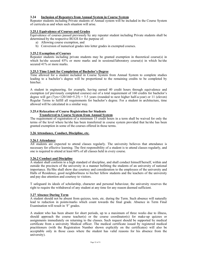#### **3.24 Inclusion of Repeaters from Annual System in Course System**

Repeater students including Private students of Annual system will be included in the Course System of curricula as and when such situation will arise.

#### **3.25.1 Equivalence of Courses and Grades**

Equivalence of courses passed previously by any repeater student including Private students shall be determined by the respective BUGS for the purpose of:

- a) Allowing course exemption, and
- b) Conversion of numerical grades into letter grades in exempted courses.

#### **3.25.2 Exemption of Courses**

Repeater students including private students may be granted exemption in theoretical course(s) in which he/she secured 45% or more marks and in sessional/laboratory course(s) in which he/she secured 41% or more marks.

#### **3.25.3 Time Limit for Completion of Bachelor's Degree**

Time allowed for a student included in Course System from Annual System to complete studies leading to a bachelor's degree will be proportional to the remaining credits to be completed by him/her.

A student in engineering, for example, having earned 40 credit hours through equivalence and exemption (of previously completed courses) out of a total requirement of 160 credits for bachelor's degree will get  $(7yrs \times 120/160=5.25) = 5.5$  years (rounded to next higher half-a-year) or 11 (eleven) Regular Terms to fulfill all requirements for bachelor's degree. For a student in architecture, time allowed will be calculated in a similar way.

#### **3.25.4 Relaxation of Course Registration for Students Transferred to Course System from Annual System**

The requirement of registration of a minimum 15 credit hours in a term shall be waived for only the terms of the level where he/she has been transferred in course system provided that he/she has been granted exemption in some of the courses offered in those terms.

#### **3.26 Attendance, Conduct, Discipline, etc.**

#### **3.26.1 Attendance**

All students are expected to attend classes regularly. The university believes that attendance is necessary for effective learning. The first responsibility of a student is to attend classes regularly, and one is required to attend at least 60% of all classes held in every course.

#### **3.26.2 Conduct and Discipline**

A student shall conform to a high standard of discipline, and shall conduct himself/herself, within and outside the precincts of the university in a manner befitting the students of an university of national importance. He/She shall show due courtesy and consideration to the employees of the university and Halls of Residence, good neighborliness to his/her fellow students and the teachers of the university and pay due attention and courtesy to visitors.

T safeguard its ideals of scholarship, character and personal behaviour, the university reserves the right to require the withdrawal of any student at any time for any reason deemed sufficient.

#### **3.27 Absence During Term**

A student should not be absent from quizzes, tests, etc. during the Term. Such absence will naturally lead to reduction in points/marks which count towards the final grade. Absence in Term Final Examination will result in 'F' grades.

A student who has been absent for short periods, up to a maximum of three weeks due to illness, should approach the course teacher(s) or the course coordinator(s) for make-up quizzes or assignments immediately on returning to the classes. Such request should be supported by medical certificate from a university Medical officer. The medical certificate issued by registered medical practitioners (with the Registration Number shown explicitly on the certificates) will also be acceptable only in those cases where the student has valid reasons for his absence from the university).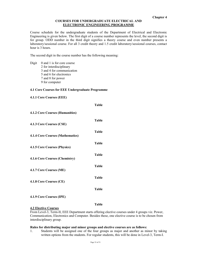#### **COURSES FOR UNDERGRADUATE ELECTRICAL AND ELECTRONIC ENGINEERING PROGRAMME**

Course schedule for the undergraduate students of the Department of Electrical and Electronic Engineering is given below. The first digit of a course number represents the level, the second digit is for group. ODD number in the third digit signifies a theory course and even number presents a laboratory/sessional course. For all 3 credit theory and 1.5 credit laboratory/sessional courses, contact hour is 3 hours.

**Table**

The second digit in the course number has the following meaning:

Digit 0 and 1 is for core course 2 for interdisciplinary 3 and 4 for communication 5 and 6 for electronics 7 and 8 for power 9 for computer

#### **4.1 Core Courses for EEE Undergraduate Programme**

**4.1.1 Core Courses (EEE)** 

|                                         | ravic        |
|-----------------------------------------|--------------|
| <b>4.1.2 Core Courses (Humanities)</b>  |              |
| 4.1.3 Core Courses (CSE)                | <b>Table</b> |
| <b>4.1.4 Core Courses (Mathematics)</b> | <b>Table</b> |
| 4.1.5 Core Courses (Physics)            | <b>Table</b> |
| 4.1.6 Core Courses (Chemistry)          | <b>Table</b> |
| 4.1.7 Core Courses (ME)                 | <b>Table</b> |
| 4.1.8 Core Courses (CE)                 | <b>Table</b> |
|                                         | <b>Table</b> |
|                                         |              |

#### **4.1.9 Core Courses (IPE)**

**Table**

#### **4.2 Elective Courses**

From Level-3, Term-II, EEE Department starts offering elective courses under 4 groups viz. Power, Communication, Electronics and Computer. Besides these, one elective course is to be chosen from interdisciplinary group.

#### **Rules for distributing major and minor groups and elective courses are as follows:**

1. Students will be assigned one of the four groups as major and another as minor by taking written options from the students. For regular students, this will be done in Level-3, Term-I.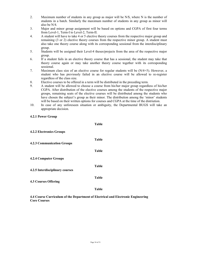- 2. Maximum number of students in any group as major will be N/\$, where N is the number of students in a batch. Similarly the maximum number of students in any group as minor will also be N/4.
- 3. Major and minor group assignment will be based on options and CGPA of first four terms from Level-1, Term-I to Level-2, Term-II.
- 4. A student will have to take 4 or 5 elective theory courses from the respective major group and remaining (3 or 2) elective theory courses from the respective minor group. A student must also take one theory course along with its corresponding sessional from the interdisciplinary group.
- 5. Students will be assigned their Level-4 theses/projects from the area of the respective major group.
- 6. If a student fails in an elective theory course that has a sessional, the student may take that theory course again or may take another theory course together with its corresponding sessional.
- 7. Maximum class size of an elective course for regular students will be (N/4+5). However, a student who has previously failed in an elective course will be allowed to re-register regardless of the class size.
- 8. Elective courses to be offered in a term will be distributed in the preceding term.
- 9. A student will be allowed to choose a course from his/her major group regardless of his/her CGPA. After distribution of the elective courses among the students of the respective major groups, remaining seats of the elective courses will be distributed among the students who have chosen the subject's group as their minor. The distribution among the 'minor' students will be based on their written options for courses and CGPA at the time of the distriution.
- 10. In case of any unforeseen situation or ambiguity, the Departmental BUGS will take an appropriate decision.

#### **4.2.1 Power Group**

|                                   | <b>Table</b> |
|-----------------------------------|--------------|
| <b>4.2.2 Electronics Groups</b>   |              |
| <b>4.2.3 Communication Groups</b> | Table        |
|                                   | <b>Table</b> |
| <b>4.2.4 Computer Groups</b>      |              |
| 4.2.5 Interdisciplinary courses   | <b>Table</b> |
| <b>4.3 Courses Offering</b>       | <b>Table</b> |
|                                   | Table        |

**4.4 Course Curriculum of the Department of Electrical and Electronic Engineering Core Courses**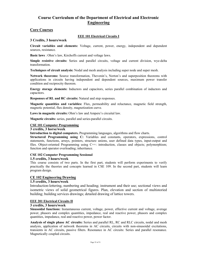### **Course Curriculum of the Department of Electrical and Electronic Engineering**

#### **Core Courses**

#### **EEE 101 Electrical Circuits I**

#### **3 Credits, 3 hours/week**

**Circuit variables and elements:** Voltage, current, power, energy, independent and dependent sources, resistance.

**Basic laws** : Ohm's law, Kirchoffs current and voltage laws.

**Simple resistive circuits:** Series and parallel circuits, voltage and current division, wye-delta transformation.

**Techniques of circuit analysis:** Nodal and mesh analysis including super node and super mesh.

**Network theorems:** Source transformation, Thevenin's, Norton's and superposition theorems with applications in circuits having independent and dependent sources, maximum power transfer condition and reciprocity theorem.

**Energy storage elements:** Inductors and capacitors, series parallel combination of inductors and capacitors.

**Responses of RL and RC circuits:** Natural and step responses.

**Magnetic quantities and variables:** Flux, permeability and reluctance, magnetic field strength, magnetic potential, flux density, magnetization curve.

**Laws in magnetic circuits:** Ohm's law and Ampere's circuital law.

**Magnetic circuits:** series, parallel and series-parallel circuits.

#### **CSE 101 Computer Programming**

#### **3 credits, 3 horse/week**

**Introduction to digital computers.** Programming languages, algorithms and flow charts.

**Structured Programming using C:** Variables and constants, operators, expressions, control statements, functions, arrays, pointers, structure unions, user defined data types, input-output and files. Object-oriented Programming using C++: introduction, classes and objects; polymorphism; function and operator overloading; inheritance.

#### **CSE 102 Computer Programming Sessional**

#### **1.5 credits, 3 hours/week**

This course consists of two parts. In the first part, students will perform experiments to verify practically the theories and concepts learned in CSE 109. In the second part, students will learn program design.

#### **CE 102 Engineering Drawing**

#### **1.5 credits, 3 hours/week**

Introduction-lettering, numbering and heading; instrument and their use; sectional views and isometric views of solid geometrical figures. Plan, elevation and section of multistoried building; building services drawings; detailed drawing of lattice towers.

#### **EEE 201 Electrical Circuits II**

#### **3 credits, 3 hours/week**

**Sinusoidal functions:** Instantaneous current, voltage, power, effective current and voltage, average power, phasors and complex quantities, impedance, real and reactive power, phasors and complex quantities, impedance, real and reactive power, power factor.

**Analysis of single phase AC circuits:** Series and parallel RL, RC and RLC circuits, nodal and mesh analysis, application of network theorems in AC circuits, circuits with non-sinusoidal excitations, transients in AC circuits, passive filters. Resonance in AC circuits: Series and parallel resonance. Magnetically coupled circuits.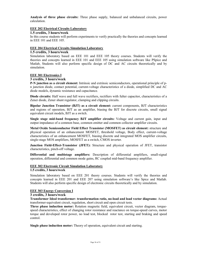**Analysis of three phase circuits:** Three phase supply, balanced and unbalanced circuits, power calculation.

#### **EEE 202 Electrical Circuits Laboratory**

#### **1.5 credits, 3 hours/week**

In this course students will perform experiments to verify practically the theories and concepts learned in EEE 101 and EEE 105.

#### **EEE 204 Electrical Circuits Simulation Laboratory**

#### **1.5 credits, 3 hours/week**

Simulation laboratory based on EEE 101 and EEE 105 theory courses. Students will verify the theories and concepts learned in EEE 101 and EEE 105 using simulation software like PSpice and Matlab, Students will also perform specific design of DC and AC circuits theoretically and by simulation.

#### **EEE 301 Electronics I**

#### **3 credits, 3 hours/week**

**P-N junction as a circuit element:** Intrinsic and extrinsic semiconductors, operational principle of pn junction diode, contact potential, current-voltage characteristics of a diode, simplified DC and AC diode models, dynamic resistance and capacitance.

**Diode circuits:** Half wave and full wave rectifiers, rectifiers with fulter capacitor, characteristics of a Zener diode, Zener shunt regulator, clamping and clipping circuits.

**Bipolar Junction Transistor (BJT) as a circuit element:** current components, BJT characteristics and regions of operation, BJT as an amplifier, biasing the BJT for discrete circuits, small signal equivalent circuit models, BJT as a switch.

**Single stage mid-band frequency BJT amplifier circuits:** Voltage and current gain, input and output impedance of a common base, common emitter and common collector amplifier circuits.

**Metal Oxide Semiconductor Field Effect Transistor (MOSFET) as circuit element:** structure and physical operation of an enhancement MOSFET, threshold voltage, Body effect, current-voltage characteristics of an enhancement MOSFET, biasing discrete and integrated MOS amplifier circuits, single-stage MOS amplifiers, MOSFET as a switch, CMOS inverter.

**Junction Field-Effect-Transistor (JFET):** Structure and physical operation of JFET, transistor characteristics, pinch-off voltage.

**Differential and multistage amplifiers:** Description of differential amplifiers, small-signal operation, differential and common mode gains, RC coupled mid-band frequency amplifier.

### **EEE 302 Electronic Circuit Simulation Laboratory**

#### **1.5 credits, 3 hours/week**

Simulation laboratory based on EEE 201 theory courses. Students will verify the theories and concepts learned in EEE 201 and EEE 207 using simulation software's like Spice and Matlab. Students will also perform specific design of electronic circuits theoretically and by simulation.

#### **EEE 303 Energy Conversion I**

#### **3 credits, 3 hours/week**

**Transformer Ideal transformer- transformation ratio, no-load and load vector diagrams:** Actual transformer-equivalent circuit, regulation, short circuit and open circuit tests.

**Three phase induction motor:** Rotation magnetic field, equivalent circuit, vector diagram, torquespeed characteristics, effect of changing rotor resistance and reactance on torque-speed curves, motor torque and developed rotor power, no load test, blocked rotor test, starting and braking and speed control.

**Single phase induction motor:** Theory of operation, equivalent circuit and starting.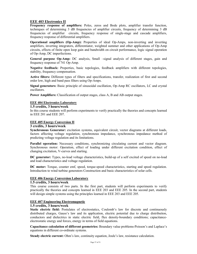#### **EEE 403 Electronics II**

**Frequency response of amplifiers:** Poles, zeros and Bode plots, amplifier transfer function, techniques of determining 3 dB frequencies of amplifier circuits, frequency of determining 3 dB frequencies of amplifier circuits, frequency response of single-stage and cascade amplifiers, frequency response of differential amplifiers.

**Operational amplifiers (Op-Amp):** Properties of ideal Op-Amps, non-inverting and inverting amplifiers, inverting integrators, differentiator, weighted summer and other applications of Op-Amp circuits, effects of finite open loop gain and bandwidth on circuit performance, logic signal operation of Op-Amp, DC imperfections.

**General purpose Op-Amp:** DC analysis, Small –signal analysis of different stages, gain and frequency response of 741 Op-Amp.

**Negative feedback:** Properties, basic topologies, feedback amplifiers with different topologies, stability, frequency compensation.

**Active filters:** Different types of filters and specifications, transfer, realization of first and second order low, high and band pass filters using Op-Amps.

**Signal generators:** Basic principle of sinusoidal oscillation, Op-Amp RC oscillators, LC and crystal oscillators.

**Power Amplifiers:** Classification of output stages, class A, B and AB output stages.

#### **EEE 404 Electronics Laboratory**

#### **1.5 credits, 3 hours/week**

In this course students will perform experiments to verify practically the theories and concepts learned in EEE 201 and EEE 207.

#### **EEE 405 Energy Conversion II**

#### **3 credits, 3 hours/week**

**Synchronous Generator:** excitation systems, equivalent circuit, vector diagrams at different loads, factors affecting voltage regulation, synchronous impedance, synchronous impedance method of predicting voltage regulation and its limitations.

**Parallel operation:** Necessary conditions, synchronizing circulating current and vector diagram. Synchronous motor: Operation, effect of loading under different excitation condition, effect of changing excitation, V-curves and starting.

**DC generator:** Types, no-load voltage characteristics, build-up of a self excited of speed on no-load and load characteristics and voltage regulation.

**DC motor:** Torque, counter emf, speed, torque-speed characteristics, starting and speed regulation. Introduction to wind turbine generators Construction and basic characteristics of solar cells.

#### **EEE 406 Energy Conversion Laboratory**

#### **1.5 credits, 3 hours/week**

This course consists of two parts. In the first part, students will perform experiments to verify practically the theories and concepts learned in EEE 203 and EEE 205. In the second part, students will design simple systems using the principles learned in EEE 203 and EEE 205.

#### **EEE 407 Engineering Electromagnetic**

#### **1.5 credits, 3 hours/week**

**Static electric field:** Postulates of electrostatics, Coulomb's law for discrete and continuously distributed charges, Gauss's law and its application, electric potential due to charge distribution, conductors and dielectrics in static electric field, flux density-boundary conditions; capacitanceelectrostatic energy and forces, energy in terms of field equations.

**Capacitance calculation of different geometries:** Boundary value problems-Poisson's and Laplace's equations in different co-ordinate systems.

**Steady electric current:** Ohm's law, continuity equation, Joule's law, resistance calculation.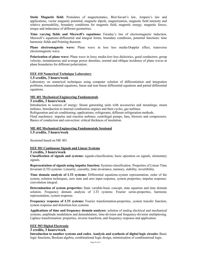**Static Magnetic field:** Postulates of magnetostatics, Biot-Savart's law, Ampere's law and applications, vector magnetic potential, magnetic dipole, magnetization, magnetic field intensity and relative permeability, boundary conditions for magnetic field, magnetic energy, magnetic forces, torque and inductance of different geometries.

**Time varying fields and Maxwell's equations:** Faraday's law of electromagnetic induction, Maxwell's equations-differential and integral forms, boundary conditions, potential functions: time harmonic fields and Pointing theorem.

**Plane electromagnetic wave:** Plane wave in loss less media-Doppler effect, transverse electromagnetic wave.

**Polarization of plane wave:** Plane wave in lossy media-low-loss dielectrics, good conductors; group velocity, instantaneous and average power densities, normal and oblique incidence of plane waves at plane boundaries for different polarization.

#### **EEE 410 Numerical Technique Laboratory**

#### **1.5 credits, 3 hours/week**

Laboratory on numerical techniques using computer solution of differentiation and integration problems, transcendental equations, linear and non-linear differential equations and partial differential equations.

#### **ME 401 Mechanical Engineering Fundamentals**

#### **3 credits, 3 hours/week**

Introduction to sources of energy: Steam generating units with accessories and mountings; steam turbines. Introduction to internal combustion engines and their cycles, gas turbines.

Refrigeration and air conditioning: applications; refrigerants, different refrigeration methods.

Fluid machinery: impulse and reaction turbines; centrifugal pumps, fans, blowers and compressors. Basics of conduction and convection: critical thickness of insulation.

#### **ME 402 Mechanical Engineering Fundamentals Sessional 1.5 credits, 3 hours/week**

Sessional based on ME 401.

#### **EEE 501 Continuous Signals and Linear Systems**

#### **3 credits, 3 hours/week**

**Classification of signals and systems:** signals-classification, basic operation on signals, elementary signals.

**Representation of signals using impulse function:** Systems-classification. Properties of Linear Time Invariant (LTI) systems: Linearity, causality, time invariance, memory, stability, invertibility.

**Time domain analysis of LTI systems:** Differential equations-system representation, order of the system, solution techniques, zero state and zero input response, system properties; impulse responseconvolution integral.

**Determination of system properties:** State variable-basic concept, state equation and time domain solution. Frequency domain analysis of LTI systems: Fourier series-properties, harmonic representation, system response.

**Frequency response of LTI systems:** Fourier transformation-properties, system transfer function, system response and distortion-less systems.

**Applications of time and frequency domain analyses:** solution of analog electrical and mechanical systems, amplitude modulation and demodulation, time-division and frequency-division multiplexing. Laplace transformation: properties, inverse transform, and frequency response and application.

#### **EEE 503 Digital Electronic**

#### **3 credits, 3 hours/week**

**Introduction to number systems and codes. Analysis and synthesis of digital logic circuits:** Basic logic functions, Boolean algebra, combinational logic design, minimization of combinational logic.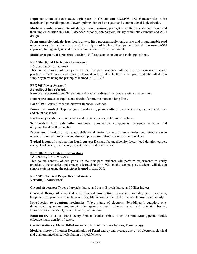**Implementation of basic static logic gates in CMOS and BiCMOS:** DC characteristics, noise margin and power dissipation. Power optimization of basic gates and combinational logic circuits.

**Modular combinational circuit design:** pass transistor, pass gates, multiplexer, demultiplexer and their implementation in CMOS, decoder, encoder, comparators, binary arithmetic elements and ALU design.

**Programmable logic devices:** Logic arrays, fiesd programmable logic arrays and programmable read only memory. Sequential circuits: different types of latches, flip-flips and their design using ASM approach, timing analysis and power optimization of sequential circuits.

**Modular sequential logic circuit design:** shift registers, counters and their applications.

#### **EEE 504 Digital Electronics Laboratory**

#### **1.5 credits, 3 hours/week**

This course consists of two parts. In the first part, students will perform experiments to verify practically the theories and concepts learned in EEE 203. In the second part, students will design simple systems using the principles learned in EEE 303.

#### **EEE 505 Power System I**

#### **3 credits, 3 hours/week**

**Network representation:** Single line and reactance diagram of power system and per unit.

**Line representation:** Equivalent circuit of short, medium and long lines.

**Load flow:** Gauss-Siedel and Newton Raphson Methods.

**Power flow control:** Tap changing transformer, phase shifting, booster and regulation transformer and shunt capacitor.

**Faulf analysis:** short circuit current and reactance of a synchronous machine.

**Symmetrical fault calculation methods:** Symmetrical components, sequence networks and unsymmetrical fault calculation.

**Protection:** Introduction to relays, differential protection and distance protection. Introduction to relays, differential protection and distance protection. Introduction to circuit breakers.

**Typical layout of a substation Load curves:** Demand factor, diversity factor, load duration curves, energy load curve, load factor, capacity factor and plant factor.

#### **EEE 506 Power System I Laboratory**

#### **1.5 credits, 3 hours/week**

This course consists of two parts. In the first part, students will perform experiments to verify practically the theories and concepts learned in EEE 305. In the second part, students will design simple systems using the principles learned in EEE 305.

#### **EEE 507 Electrical Properties of Materials**

**3 credits, 3 hours/week** 

**Crystal structures:** Types of crystals, lattice and basis, Bravais lattice and Miller indices.

**Classical theory of electrical and thermal conduction:** Scattering, mobility and resistively, temperature dependence of metal resistivity, Mathiessen's rule, Hall effect and thermal conductivity.

**Introduction to quantum mechanics:** Wave nature of electrons, Schrödinger's equation, onedimensional quantum problems-infinite quantum well, potential step and potential barrier; Heisenbergs's uncertainty principle and quantum box.

**Band theory of solids:** Band theory from molecular orbital, Bloch theorem, Kronig-penny model, effective mass, density-of-states.

**Carrier statistics:** Maxwell-Boltzmann and Fermi-Dirac distributions, Fermi energy.

**Modern theory of metals:** Determination of Fermi energy and average energy of electrons, classical and quantum mechanical calculation of specific heat.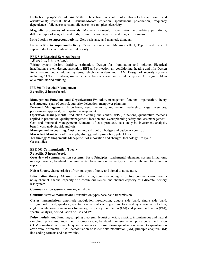**Dielectric properties of materials:** Dielectric constant, polarization-electronic, ionic and orientational; internal field, Clausius-Mosotti equation, spontaneous polarization, frequency dependence of dielectric constant, dielectric loss and piezoelectricity.

**Magnetic properties of materials:** Magnetic moment, magnetization and relative permitivity, different types of magnetic materials, origin of ferromagnetism and magnetic domains.

**Introduction to superconductivity:** Zero resistance and magnetic domains.

**Introduction to superconductivity:** Zero resistance and Meissner effect, Type I and Type II superconductors and critical current density.

#### **EEE 510 Electrical Services Design**

#### **1.5 credits, 3 hours/week**

Wiring system design, drafting, estimation. Design for illumination and lighting. Electrical installations system design: substation, BBT and protection, air-conditioning, heating and lifts. Design for intercom, public address systems, telephone system and LAN. Design of security systems including CCTV, fire alarm, smoke detector, burglar alarm, and sprinkler system. A design problem on a multi-storied building.

#### **IPE 601 Industrial Management**

#### **3 credits, 3 hours/week**

**Management Functions and Organization:** Evolution, management function: organization, theory and structure, span of control, authority delegation, manpower planning.

**Personal Management:** Importance, need hierarchy, motivation, leadership, wage incentives, performance appraisal, participative management.

**Operation Management:** Production planning and control (PPC) functions, quantitative methods applied in production, quality management, location and layout planning safety and loss management. Cost and Financial Management: Elements of cost products, cost analysis, investment analysis, benefit cost analysis, risk analysis.

**Management Accounting:** Cost planning and control, budget and budgetary control.

**Marketing Management:** Concepts, strategy, sales promotion, patent laws.

**Technology Management:** Management of innovation and changes, technology life cycle. Case studies.

#### **EEE 601 Communication Theory**

#### **3 credits, 3 hours/week**

**Overview of communication systems:** Basic Principles, fundamental elements, system limitations, message source, bandwidth requirements, transmission media types, bandwidth and transmission capacity.

**Noise:** Source, characteristics of various types of noise and signal to noise ratio.

**Information theory:** Measure of information, source encoding, error free communication over a noisy channel, channel capacity of a continuous system and channel capacity of a discrete memory less system.

**Communication systems:** Analog and digital.

**Continuous wave modulation:** Transmission types-base-band transmission.

**Crrier transmission:** amplitude modulation-introduction, double side band, single side band, vestigial side band, quadrate, spectral analysis of each type, envelope and synchronous detection; angle modulation-instantaneous frequency, frequency modulation (FM) and phase modulation (PM), spectral analysis, demodulation of FM and PM.

**Pulse modulation:** Sampling-sampling theorem, Nyquist criterion, aliasing, instantaneous and natural sampling; pulse amplitude modulation-principle, bandwidth requirements; pulse code modulation (PCM)-quantization principle quantization noise, non-uniform quantization signal to quantization error ratio, differential PCM, demodulation of PCM; delta modulation (DM)-principle adaptive DM; line coding-formats and bandwidths.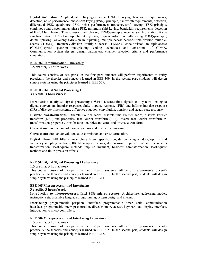**Digital modulation:** Amplitude-shift Keying-principle, ON-OFF keying, bandwidth requirements, detection, noise performance; phase-shift keying (PSK)- principle, bandwidth requirements, detection, differential PSK, quadrature PSK, noise performance; frequency-shift keying (FSK)-principle, continuous and discontinuous phase FSK, minimum shift keying, bandwidth requirements, detection of FSK. Multiplexing: Time-division multiplexing (TDM)-principle, receiver synchronization, frame synchronization, TDM of multiple bit rate systems; frequency-division multiplexing (FDM)-principle, de-multiplexing; wavelength-division multiplexing, multiple-access network-time-division multipleaccess (TDMA), frequency-division multiple access (FDMA); code-division multiple-access (CDMA)-spread spectrum multiplexing, coding techniques and constraints of CDMA. Communication system design: design parameters, channel selection criteria and performance simulation.

### **EEE 602 Communication Laboratory**

#### **1.5 credits, 3 hours/week**

This course consists of two parts. In the first part, students will perform experiments to verify practically the theories and concepts learned in EEE 309. In the second part, students will design simple systems using the principles learned in EEE 309.

#### **EEE 603 Digital Signal Processing I**

#### **3 credits, 3 hours/week**

**Introduction to digital signal processing (DSP) :** Discrete-time signals and systems, analog to digital conversion, impulse response, finite impulse response (FIR) and infinite impulse response (IIR) of discrete-time systems, difference equation, convolution, transient and steady state response.

**Discrete transformations:** Discrete Fourier series, discrete-time Fourier series, discrete Fourier transform (DFT) and properties, fast Fourier transform (FFT), inverse fast Fourier transform, ztransformation-properties, transfer function, poles and zeros and inverse z-transform.

**Correlation:** circular convolution, auto-zeros and inverse z-transform.

**Correlation:** circular convolution, auto-correlation and cross correlation.

**Digital Filters:** FIR filters- linear phase filters, specification, design using window, optimal and frequency sampling methods; IIR filters-specifications, design using impulse invariant, bi-linear ztransformation, least-square methods impulse invariant, bi-linear z-transformation, least-square methods and finite precision effects.

#### **EEE 604 Digital Signal Processing I Laboratory**

#### **1.5 credits, 3 hours/week**

This course consists of two parts. In the first part, students will perform experiments to verify practically the theories and concepts learned in EEE 311. In the second part, students will design simple systems using the principles learned in EEE 311.

#### **EEE 605 Microprocessor and Interfacing**

#### **3 credits, 3 hours/week**

**Introduction to microprocessors. Intel 8086 microprocessor:** Architecture, addressing modes, instruction sets, assemble language programming, system design and interrupt.

**Interfacing:** programmable peripheral interface, programmable timer, serial communication interface, programmable interrupt controller, direct momory access, keyboard and display interface. Introduction to micro-controllers.

#### **EEE 606 Microprocessor and Interfacing Laboratory**

#### **1.5 credits, 3 hours/week**

This course consists of two parts. In the first part, students will perform experiments to verify practically the theories and concepts learned in EEE 315. In the second part, students will design simple systems using the principles learned in EEE 315.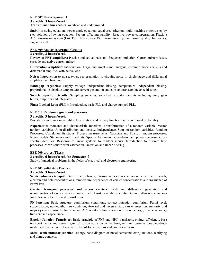#### **EEE 607 Power System II**

#### **3 credits, 3 hours/week**

**Transmission lines cables:** overhead and underground.

**Stability:** swing equation, power angle equation, equal area criterion, multi-machine system, step by step solution of swing equation. Factors affecting stability. Reactive power compensation. Flexible AC transmission system (FACTS). High voltage DC transmission system. Power quality: harmonics, sag and swell.

#### **EEE 609 Analog Integrated Circuits**

#### **3 credits, 3 hours/week**

**Review of FET amplifiers:** Passive and active loads and frequency limitation. Current mirror: Basic, cascode and active current mirror.

**Differential Amplifier:** Introduction, Large and small signal analysis, common mode analysis and differential amplifier with active load.

**Noise:** Introduction to noise, types, representation in circuits, noise in single stage and differential amplifiers and bandwidth.

**Band-gap regencies:** Supply voltage independent biasing, temperature independent biasing, proportional to absolute temperature current generation and constant transconductance biasing.

**Switch capacitor circuits:** Sampling switches, switched capacitor circuits including unity gain buffer, amplifier and integrator.

**Phase Locked Loop (PLL):** Introduction, basic PLL and charge pumped PLL.

#### **EEE 611 Random Signals and processes**

#### **3 credits, 3 hours/week**

Probability and random variables. Distribution and density functions and conditional probability.

**Expectation:** moments and characteristic functions. Transformation of a random variable. Vector random variables. Joint distribution and density. Independence, Sums of random variables. Random Processes. Correlation functions. Process measurements. Gaussian and Poisson random processes. Noise models. Stationary and Ergodicity. Spectral Estimation. Correlation and power spectrum. Cross spectral densities. Response of linear systems to random inputs. Introduction to discrete time processes, Mean-square error estimation, Detection and linear filtering.

#### **EEE 700 project/Thesis**

#### **3 credits, 6 hours/week for Semester-7**

Study of practical problems in the fields of electrical and electronic engineering.

#### **EEE 701 Solid state Devices**

#### **3 credits, 3 hours/week**

**Semiconductors in equilibrium:** Energy bands, intrinsic and extrinsic semiconductors, Fermi levels, electron and hole concentrations, temperature dependence of carrier concentrations and invariance of Fermi level.

**Carrier transport processes and excess carriers:** Drift and diffusions, generation and recombination of excess carriers, built-in field, Einstein relations, continuity and diffusinon equations for holes and electrons and quasi-Fermi level.

**PN junction:** Basic structure, equilibrium conditions, contact potential, equilibrium Fermi level, space charge, non-equilibrium condition, forward and reverse bias, carrier injection. minority and majority carrier currents, transient and AC conditons, time variation of stored charge, reverse recovery transient and capacitance.

**Bipolar Junction Transistor:** Basic principle of PNP and NPN transistors, emitter efficiency, base transport factor and current gain, diffusion equation in the base, terminal currents, coupled-diode model and charge control analysis, Ebers-Moll equations and circuit synthesis.

**Metal-semiconductor junction:** Energy band diagram of metal semiconductor junctions, rectifying and ohmic contacts.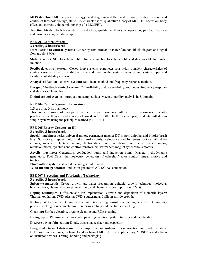**MOS structure:** MOS capacitor, energy band diagrams and flat band voltage, threshold voltage and control of threshold voltage, static C-V characteristics, qualitative theory of MOSFET operation, body effect and current-voltage relationship of a MOSFET.

**Junction Field-Effect-Transistor:** Introduction, qualitative theory of operation, pinch-off voltage and current-voltage relationship.

#### **EEE 703 Control System I**

#### **3 credits, 3 hours/week**

**Introduction to control systems. Linear system models:** transfer function, block diagram and signal flow graph (SFG).

**State variables:** SFG to state variables, transfer function to state variable and state variable to transfer function.

**Feedback control system:** Closed loop systems, parameter sensitivity, transient characteristics of control systems, effect of additional pole and zero on the system response and system types and steady. Root stability criterion.

**Analysis of feedback control system:** Root locus method and frequency response method.

**Design of feedback control system:** Controllability and observability, root locus, frequency response and state variable methods.

**Digital control systems:** introduction, sampled data systems, stability analysis in Z-domain.

#### **EEE 704 Control System I Laboratory**

#### **1.5 credits, 3 hours/week**

This course consists of two parts. In the first part, students will perform experiments to verify practically the theories and concepts learned in EEE 401. In the second part, students will design simple systems using the principles learned in EEE 401.

#### **EEE 705 Energy Conversion III**

#### **3 credits, 3 hours/week**

**Special machines:** series universal motor, permanent magnet DC motor, unipolar and bipolar brush less DC motors, stepper motor and control circuits. Reluctance and hysteresis motors with drive circuits, switched reluctance motor, electro static motor, repulsion motor, electro static motor, repulsion motor, synchros and control transformers. Permanent magnet synchronous motors.

**Acyclic machines:** Generators, conduction pump and induction pump. Maneto hydrodynamic generators. Fuel Cells, thermoelectric generators, flywheels. Vector control, linear motors and traction.

**Photovoltaic systems:** stand alone and grid interfaced.

**Wind turbine generators:** induction generator, AC-DC-AC conversion.

#### **EEE 707 Processing and Fabrication Technology**

#### **3 credits, 3 hours/week**

**Substrate materials:** Crystal growth and wafer preparation, epitaxial growth technique, molecular beam epitaxy, chemical vapor phase epitaxy and chemical vapor deposition (CVD).

**Doping techniques:** Diffusion and ion implantation. Growth and deposition of dielectric layers: Thermal oxidation, CVD, plasma CVD, sputtering and silicon-nitride growth.

**Etching:** Wet chemical etching, silicon and Gas etching, anisotropic etching, selective etching, dry physical etching, ion beam etching, sputtering etching and reactive ion etching.

**Cleaning:** Surface cleaning, organic cleaning and RCA cleaning.

**Lithography:** Photo-reactive materials, pattern generation, pattern transfer and metalization.

**Discrete device fabrication:** Diode, transistor, resistor and capacitor.

**Integrated circuit fabrication:** Isolation-pn junction isolation, mesa isolation and oxide isolation. BJT based microcircuits, p-channel and n-channel MOSFETs, complimentary MOSFETs and silicon on insulator devices. Testing, bonding and packaging.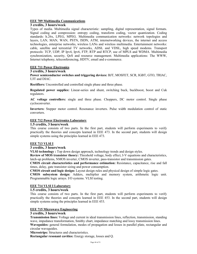#### **EEE 709 Multimedia Communications**

#### **3 credits, 3 hours/week**

Types of media. Multimedia signal characteristic: sampling, digital representation, signal formats. Signal coding and compression: entropy coding, transform coding, vector quantization. Coding standards: h.26x, LPEG, MPEG. Multimedia communication networks: network topologies and layers, LAN, MAN, WAN, PSTN, ISDN, ATM, internetworking devices, the internet and access technologies, enterprise networks, wireless LANs and wireless multimedia. Entertainment networks: cable, satellite and terrestrial TV networks, ADSL and VDSL, high speed modems. Transport protocols: TCP, UDP, IP Ipv4, Ipv6, FTP, RTP and RTCP, use of MPLS and WDMA. Multimedia synchronization, security, QoS and resource management. Multimedia applications: The WWW, Internet telephony, teleconferencing, HDTV, email and e-commerce.

#### **EEE 711 Power Electronics**

#### **3 credits, 3 hours/week**

**Power semiconductor switches and triggering devices:** BJT, MOSFET, SCR, IGBT, GTO, TRIAC, UJT and DIAC.

**Rectifiers:** Uncontrolled and controlled single phase and three phase.

**Regulated power supplies:** Linear-series and shunt, switching buck, buckboost, boost and Cuk regulators.

**AC voltage controllers:** single and three phase. Choppers, DC motor control. Single phase cycloconverter.

**Inverters:** Stepper motor control. Resonance inverters. Pulse width modulation control of static converters.

#### **EEE 712 Power Electronics Laboratory**

#### **1.5 credits, 3 hours/week**

This course consists of two parts. In the first part, students will perform experiments to verify practically the theories and concepts learned in EEE 473. In the second part, students will design simple systems using the principles learned in EEE 473.

#### **EEE 713 VLSI I**

#### **3 credits, 3 hours/week**

**VLSI technology :** Top down design approach, technology trends and design styles.

**Review of MOS transistor theory:** Threshold voltage, body effect, I-V equations and characteristics, latch-up problems, NMOS inverter, CMOS inverter, pass-transistor and transmission gates.

**CMOS circuit characteristics and performance estimation:** Resistance, capacitance, rise and fall times, delay, gate transistor sizing and power consumption.

**CMOS circuit and logic design:** Layout design rules and physical design of simple logic gates.

**CMOS subsystem design:** Adders, multiplier and memory system, arithmetic logic unit. Programmable logic arrays. I/O systems. VLSI testing.

#### **EEE 714 VLSI I Laboratory**

#### **1.5 credits, 3 hours/week**

This course consists of two parts. In the first part, students will perform experiments to verify practically the theories and concepts learned in EEE 453. In the second part, students will design simple systems using the principles learned in EEE 453.

#### **EEE 715 Microwave Engineering**

#### **3 credits, 3 hours/week**

**Transmission lines:** Voltage and current in ideal transmission lines, reflection, transmission, standing wave, impedance transformation, Smithy chart, impedance matching and lossy transmission lines. **Waveguides:** general formulation, modes of propagation and losses in parallel plate, rectangular and circular waveguides.

**Microstrips:** Structures and characteristics.

**Rectangular resonant cavities:** Energy storage, losses and Q.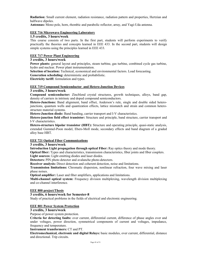**Radiation:** Small current element, radiation resistance, radiation pattern and properties, Hertzian and halfwave dipoles.

**Antennas:** Mono pole, horn, rhombic and parabolic reflector, array, and Yagi-Uda antenna.

#### **EEE 716 Microwave Engineering Laboratory**

#### **1.5 credits, 3 hours/week**

This course consists of two parts. In the first part, students will perform experiments to verify practically the theories and concepts learned in EEE 433. In the second part, students will design simple systems using the principles learned in EEE 433.

#### **EEE 717 Power Plant Engineering**

#### **3 credits, 3 hours/week**

**Power plants:** general layout and principles, steam turbine, gas turbine, combined cycle gas turbine, hydro and nuclear. Power plant instrumentation.

**Selection of location:** Technical, economical and environmental factors. Load forecasting.

**Generation scheduling:** deterministic and probabilistic.

**Electricity tariff:** formulation and types.

#### **EEE 719 Compound Semiconductor and Hetero-Junction Devices**

#### **3 credits, 3 hours/week**

**Compound semiconductor:** Zincblend crystal structures, growth techniques, alloys, band gap, density of carriers in intrinsic and doped compound semiconductors.

**Hetero-Junctions:** Band alignment, band offset, Anderson's rule, single and double sided heterojunctions, quantum wells and quantization effects, lattice mismatch and strain and common heterostructure material systems.

**Hetero-Junction diode:** Band banding, carrier transport and I-V characteristics.

**Hetero-junction field effect transistor:** Structure and principle, band structure, carrier transport and I-V characteristics.

**Hetero-structure bipolar transistor (HBT):** Structure and operating principle, quasi-static analysis, extended Gummel-Poon model, Ebers-Moll mode, secondary effects and band diagram of a graded alloy base HBT.

#### **EEE 721 Optical Fiber Communications**

#### **3 credits, 3 hours/week**

**Introduction Light propagation through optical Fiber:** Ray optics theory and mode theory.

**Optical fiber:** Types and characteristics, transmission characteristics, fiber joints and fiber couplers. **Light sources:** Light emitting diodes and laser diodes.

**Detectors:** PIN photo detector and avalanche photo-detectors.

**Receiver analysis:** Direct detection and coherent detection, noise and limitations.

**Transmission limitations:** Chromatic dispersion, nonlinear refraction, four wave mixing and laser phase noises.

**Optical amplifier:** Laser and fiber amplifiers, applications and limitations.

**Multi-channel optical system:** Frequency division multiplexing, wavelength division multiplexing and co-channel interference.

#### **EEE 800 project/Thesis**

#### **3 credits, 6 hours/week for Semester-8**

Study of practical problems in the fields of electrical and electronic engineering.

#### **EEE 801 Power System Protection**

#### **3 credits, 3 hours/week**

Purpose of power system protection.

**Criteria for detecting faults:** over current, differential current, difference of phase angles over and under voltages, power direction, symmetrical components of current and voltages, impedance, frequency and temperature.

#### **Instrument transformers:** CT and PT.

**Electromechanical, electronic and digital Relays:** basic modules, over current, differential, distance and directional. Trip circuits.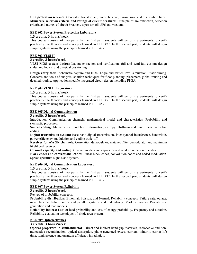**Unit protection schemes:** Generator, transformer, motor, bus bar, transmission and distribution lines. **Miniature selection criteria and ratings of circuit breakers:** Principle of are extinction, selection criteria and ratings of circuit breakers, types-air, oil, SF6 and vacuum.

#### **EEE 802 Power System Protection Laboratory**

#### **1.5 credits, 3 hours/week**

This course consists of two parts. In the first part, students will perform experiments to verify practically the theories and concepts learned in EEE 477. In the second part, students will design simple systems using the principles learned in EEE 477.

#### **EEE 803 VLSI II**

#### **3 credits, 3 hours/week**

**VLSI MOS system design:** Layout extraction and verification, full and semi-full custom design styles and logical and physical positioning.

**Design entry tools:** Schematic capture and HDL. Logic and switch level simulation. Static timing. Concepts and tools of analysis, solution techniques for floor planning, placement, global routing and detailed routing. Application specific integrated circuit design including FPGA.

#### **EEE 804 VLSI II Laboratory**

#### **1.5 credits, 3 hours/week**

This course consists of two parts. In the first part, students will perform experiments to verify practically the theories and concepts learned in EEE 457. In the second part, students will design simple systems using the principles learned in EEE 457.

#### **EEE 805 Digital Communication**

#### **3 credits, 3 hours/week**

Introduction. Communication channels, mathematical model and characteristics. Probability and stochastic processes.

**Source coding:** Mathematical models of information, entropy, Huffman code and linear predictive coding.

**Digital transmission system:** Base band digital transmission, inter-symbol interference, bandwidth, power efficiency, modulation and coding trade-off.

**Receiver for AWGN channels:** Correlation demodulator, matched filter demodulator and maximum likelihood receiver.

**Channel capacity and coding:** Channel models and capacities and random selection of codes.

**Black codes and conventional codes:** Linear block codes, convolution codes and coded modulation. Spread spectrum signals and system.

#### **EEE 806 Digital Communication Laboratory**

#### **1.5 credits, 3 hours/week**

This course consists of two parts. In the first part, students will perform experiments to verify practically the theories and concepts learned in EEE 437. In the second part, students will design simple systems using the principles learned in EEE 437.

#### **EEE 807 Power System Reliability**

#### **3 credits, 3 hours/week**

#### Review of probability concepts.

**Probability distribution:** Binomial, Poisson, and Normal. Reliability concepts. Failure rate, outage, mean time to failure, series and parallel systems and redundancy. Markov process. Probabilistic generation and load models.

**Reliability indices:** Loss of load probability and loss of energy probability. Frequency and duration. Reliability evaluation techniques of single area system.

#### **EEE 809 Optoelectronics**

#### **3 credits, 3 hours/week**

**Optical properties in semiconductor:** Direct and indirect band-gap materials, radioactive and nonradioactive recombination, optical absorption, photo-generated excess carriers, minority carrier life time, luminescence and quantum efficiency in radiation.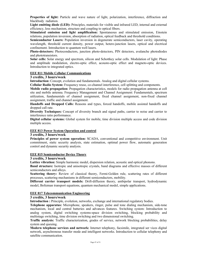**Properties of light:** Particle and wave nature of light, polarization, interference, diffraction and blackbody radiation.

**Light emitting diode (LED):** Principles, materials for visible and infrared LED, internal and external efficiency, loss mechanism, structure and coupling to optical fibers.

**Stimulated emission and light amplificaiton:** Spontaneous and stimulated emission, Einstein relations, population inversion, absorption of radiation, optical feedback and threshold conditions.

**Semiconductor Lasers:** Population inversion in degenerate semiconductors, laser cavity, operating wavelength, threshold current density, power output, hetero-junction lasers, optical and electrical confinement. Introduction to quantum well lasers.

**Photo-detectors:** Photoconductors, junction photo-detectors, PIN detectors, avalanche photodiodes and phototransistors.

**Solar cells:** Solar energy and spectrum, silicon and Schottkey solar cells. Modulation of light: Phase and amplitude modulation, electro-optic effect, acousto-optic effect and magneto-optic devices. Introduction to integrated optics.

#### **EEE 811 Mobile Cellular Communications**

#### **3 credits, 3 hours/week**

**Introduction:** Concept, evolution and fundamentals. Analog and digital cellular systems.

**Cellular Radio System:** Frequency reuse, co-channel interference, cell splitting and components.

**Mobile radio propagation:** Propagation characteristics, models for radio propagation antenna at cell site and mobile antenna. Frequency Management and Channel Assignment: Fundamentals, spectrum utilization, fundamentals of channel assignment, fixed channel assignment, non-fixed channel assignment, traffic and channel assignment.

**Handoffs and Dropped Calls:** Reasons and types, forced handoffs, mobile assisted handoffs and dropped call rate.

**Diversity Techniques:** Concept of diversity branch and signal paths, carrier to noise and carrier to interference ratio performance.

**Digital cellular systems:** Global system for mobile, time division multiple access and code division multiple access.

#### **EEE 813 Power System Operation and control**

#### **3 credits, 3 hours/week**

**Principles of power system operation:** SCADA, conventional and competitive environment. Unit commitment, static security analysis, state estimation, optimal power flow, automatic generation control and dynamic security analysis.

#### **EEE 815 Semiconductor Device Theory**

#### **3 credits, 3 hours/week**

**Lattice vibration:** Simple harmonic model, dispersion relation, acoustic and optical phonons.

**Band structure:** Isotropic and anisotropic crystals, band diagrams and effective masses of different semiconductors and alloys.

**Scattering theory:** Review of classical theory, Fermi-Golden rule, scattering rates of different processes, scattering mechanisms in different semiconductors, mobility.

**Different carrier transport models:** Drift-diffusion theory, ambipolar transport, hydrodynamic model, Boltzman transport equations, quantum mechanical model, simple applications.

#### **EEE 817 Telecommunication Engineering**

#### **3 credits, 3 hours/week**

**Introduction :** Principle, evolution, networks, exchange and international regulatory bodies.

**Telephone apparatus:** Microphone, speakers, ringer, pulse and tone dialing mechanism, side-tone mechanism, local and central batteries and advances features. Switching system: Introduction to analog system, digital switching systems-space division switching, blocking probability and multistage switching, time division switching and two dimensional switching.

**Traffic analysis:** Traffic characterization, grades of service, network blocking probabilities, delay system and queuing.

**Modern telephone services and network:** Internet telephony, facsimile, integrated ser vices digital network, asynchronous transfer mode and intelligent networks. Introduction to cellular telephony and satellite communication.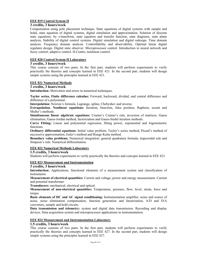#### **EEE 819 Control System II**

#### **3 credits, 3 hours/week**

Compensation using pole placement technique. State equations of digital systems with sample and hokd, state equation of digital systems, digital simulation and approximation. Solution of discrete state equations: by z-transform, state equation and transfer function, state diagrams, state plane analysis, Stability of digital control systems. Digital simulation and digital redesign. Time domain analysis. Frequency domain analysis. Controllability and observability. Optimal linear digital regulator design. Digital state observer. Microprocessor control. Introduction to neural network and fuzzy control, adaptive control. H.Contro, nonlinear control.

#### **EEE 820 Control System II Laboratory**

#### **3 credits, 3 hours/week**

This course consists of two parts. In the first part, students will perform experiments to verify practically the theories and concepts learned in EEE 421. In the second part, students will design simple systems using the principles learned in EEE 421.

#### **EEE 821 Numerical Methods**

#### **3 credits, 3 hours/week**

**Introduction:** Motivation and errors in numerical techniques.

**Taylor series, Finite difference calculus:** Forward, backward, divided, and central difference and difference of a polynimial.

**Interpolation:** Newton's formula, Lagrange, spline, Chebyshev and inverse.

**Extrapolation. Nonlinear equations:** Iteration, bisection, false position, Raphson, secant and Muller's methods.

**Simultaneous linear algebraic equations:** Cramer's Cramer's rule, inversion of matrices, Gauss elimination, Gauss-Jordan method, factorization and Gauss-Siedel iteration methods.

**Curve Fitting:** Linear and polynomial regression, fitting power, exponential and trigonometric functions.

**Ordinary differential equations:** Initial value problem, Taylor's series method, Picard's method of successive approximation, Euler's method and Runge Kutta method.

**Boundary value problems.** Numerical integration: general quadrature formula, trapezoidal rule and Simpson's rule. Numerical differentiation.

#### **EEE 822 Numerical Methods Laboratory**

**1.5 credits, 3 hours/week** 

Students will perform experiments to verify practically the theories and concepts learned in EEE 423.

#### **EEE 823 Measurement and Instrumentation**

#### **3 credits, 3 hours/week**

**Introduction:** Applications, functional elements of a measurement system and classification of instruments.

**Measurement of electrical quantities:** Current and voltage, power and energy measurement. Current and potential transformer.

**Transducers:** mechanical, electrical and optical.

**Measurement of non-electrical quantities:** Temperature, pressure, flow, level, strain, force and torque.

**Basic elements of DC and AC signal conditioning:** Instrumentation amplifier, noise and source of noise, noise elimination compensation, function generation and linearization, A/D and D/A converters, sample and hold circuits.

**Data transmission and telemetry:** system and digital data transmission. Recording and display devices. Data acquisition system and microprocessor applications in instrumentation.

#### **EEE 824 Measurement and Instrumentation Laboratory**

#### **1.5 credits, 3 hours/week**

This course consists of two parts. In the first part, students will perform experiments to verify practically the theories and concepts learned in EEE 427. In the second part, students will design simple systems using the principles learned in EEE 427.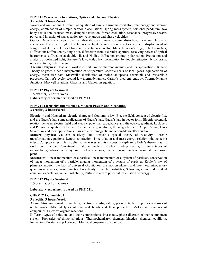#### **PHY 111 Waves and Oscillations, Optics and Thermal Physics**

#### **3 credits, 3 hours/week**

Waves and oscillations: Differential equation of simple harmonic oscillator, total energy and average energy, combination of simple harmonic oscillations, spring mass system, torsional pendulum; two body oscillation, reduced mass, damped oscillation, forced oscillation, resonance, progressive wave, power and intensity of wave, stationary wave, group and phase velocities.

**Optics:** Defects of images: spherical aberration, astigmatism, coma, distortion, curvature, chromatic aberration. Theories of light; Interference of light: Young's double slit experiment, displacement of fringes and its uses, Fresnel bi-prism, interference in thin films, Newton's rings, interferometers; Diffraction: Diffraction by single slit, diffraction from a circular aperture, resolving power of optical instruments, diffraction at double slit and N-slits, diffraction grating; polarization: Production and analysis of polarized light, Brewster's law, Malus law, polarization by double refraction, Nicol prism, optical activity, Polarimeters.

**Thermal Physics:** Heat and work-the first law of thermodynamics and its applications; Kinetic Theory of gases-Kinetic interpretation of temperature, specific heats of ideal gases, equipartition of energy, mean free path, Maxwell's distribution of molecular speeds, reversible and irreversible processes, Carnot's cycle, second law thermodynamics, Carnot's theorem, entropy, Thermodynamic functions, Maxwell relations, Clausius and Clapeyron equation.

#### **PHY 112 Physics Sessional**

**1.5 credits, 3 hours/week**

**Laboratory experiments based on PHY 111.**

#### **PHY 211 Electricity and Magnetis, Modern Physics and Mechanics**

#### **3 credits, 3 hours/week**

Electricity and Magnetism: electric charge and Coulomb's law, Electric field, concept of electric flux and the Gauss's law-some applications of Gauss's law, Gauss's law in vector form, Electric potential, relation between electric field and electric potential, capacitance and dielectrics, gradient, Laplace's and Poisson's equations, Current, Current density, relativity, the magnetic field, Ampere's law, Biot-Savart law and their applications, Laws of electromagnetic induction-Maxwell's equation.

**Modern physics:** Galilean relativity and Einstein's special theory of relativity; Lorentz transformation equations, Length contraction, Time dilation and mass-energy relation, photoelectric effect, Compton effect; De Broglie matter waves and its success in explaining Bohr's theory, Pauli's exclusion principle, Constituent of atomic nucleus, Nuclear binding energy, different types of radioactivity, radioactive decay law; Nuclear reactions, nuclear fission, nuclear fusion, atomic power plant.

**Mechanics:** Linear momentum of a particle, linear momentum of a system of particles, conservation of linear momentum of a particle, angular momentum of a system of particles, Kepler's law of planetary motion, the law of universal Gravitation, the motion planets and satellites, introductory quantum mechanics; Wave functio; Uncertainty principle, postulates, Schrodinger time independent equation, expectation value, Prohability, Particle in a zero potential, calculation of energy.

### **PHY 212 Physics Sessional**

**1.5 credits, 3 hours/week**

#### **Laboratory experiments based on PHY 211.**

#### **CHEM 211 Chemistry I**

#### **3 credits, 3 hours/week**

Atomic Structure, quantum numbers, electronic configuration, periodic table. Properties and uses of noble gases. Different types of chemical bonds and their properties. Molecular structures of compounds. Selective organic reactions.

Different types of solutions and their compositions. Phase rule, phase diagram of monocomponent system. Properties of dilute solutions. Thermochemistry, chemical kinetics, chemical equilibria. Ionization of water and pH concept. Electrical properties of solution.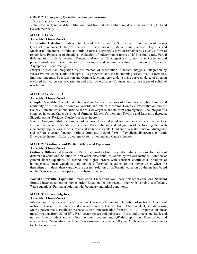#### **CHEM 212 Inorganic, Quantitative Analysis Sessional**

#### **1.5 credits, 3 hours/week**

Volumetric analysis: acid-base titration, oxidation-reduction titrations, determination of Fe, CU and Ca volumetrically.

#### **MATH 111 Calculus I**

#### **3 credits, 3 hours/week**

**Differential Calculus:** Limits, continuity and differentiability. Successive differentiation of various types of functions. Leibnitz's theorem. Rolle's theorem, Mean value theorem, Taylor's and Maclaurin's theorems in finite and infinite forms. Lagrange's form of remainders. Cauchy's form of remainders. Expansion of functions, evaluation of indeterminate forms of L' Hospital's rule. Partial differentiation. Euler's theorem. Tangent and normal. Subtangent and subnormal in Cartesian and polar co-ordinates. Determination of maximum and minimum values of functions. Curvature. Asymptotes. Curve tracing.

**Integral Calculus:** Integration by the method of substitution. Standard integrals. Integration by successive reduction. Definite integrals, its properties and use in summing series. Walli's formulae. Improper integrals. Beta function and Gamma function. Area under a plane curve an darea of a region enclosed by two curves in Cartesian and polar co-ordinates. Volumes and surface areas of solids of revolution.

#### **MATH 113 Calculus II**

#### **3 credits, 3 hours/week**

**Complex Variable:** Complex number system. General functions of a complex variable. Limits and continuity of a function of complex variable and related theorems. Complex differentiation and the Cauchy-Reimann equations. Infinite series. Convergence and uniform convergence. Line integral of a complex function. Cauchy's integral formula. Liouville's theorem. Taylor's and Laurent's theorem. Singular points. Residue. Cauchy's residue theorem.

**Vector Analysis:** Multiple product of vectors. Linear dependence and independence of vectors. Differentiation and integration of vectors. Differentiation and integration of vectors together with elementary applications. Line, surface and volume integrals. Gradient of a scalar function, divergence and curl of a vector function, various formulae. Integral forms of gradient, divergence and curl. Divergence theorem. Stoke's theorem, Green's theorem and Gauss's theorem.

#### **MATH 215 Ordinary and Partial Differential Equations**

#### **3 credits, 3 hours/week**

**Ordinary Differential Equations:** Degree and order of ordinary differential equations, formation of differential equations. Solution of first order differential equations by various methods. Solution of general linear equations of second and higher orders with constant coefficients. Solution of homogeneous linear equations. Solution of differential equations of the higher order when the dependent or independent variables are absent. Solution of differential equation by the method based on the factorization of the operators. Frobenius method.

**Partial Differential Equations:** Introduction. Linear and Non-linear first order equations. Standard forms. Linear equations of higher order. Equations of the second order with variable coefficients. Wave equations. Particular solution with boundary and initial conditions.

#### **MATH 317 Linear Algebra**

#### **3 credits, 3 hours/week**

Introduction to systems of linear equations. Gaussian elimination. Definition of matrices. Algebra of matrices. Transpose of a matrix and inverse of matrix. Factorization. Determinants. Quadratic forms. Matrix polynomials. Euclidean n-space. Linear transformation form  $IR<sup>n</sup>$  to  $IR<sup>m</sup>$ . Properties of linear transformation from IR<sup>n</sup> to IR<sup>m</sup>. Real vector spaces and subspaces. Basis and dimension. Rank and nullity. Inner product spaces. Gram-Schmidt process and QR-decomposition. Eigenvalues and eigenvectors. Diagonalization. Liner transformations. Kernel and Range. Application of linear algebra to electric networks.